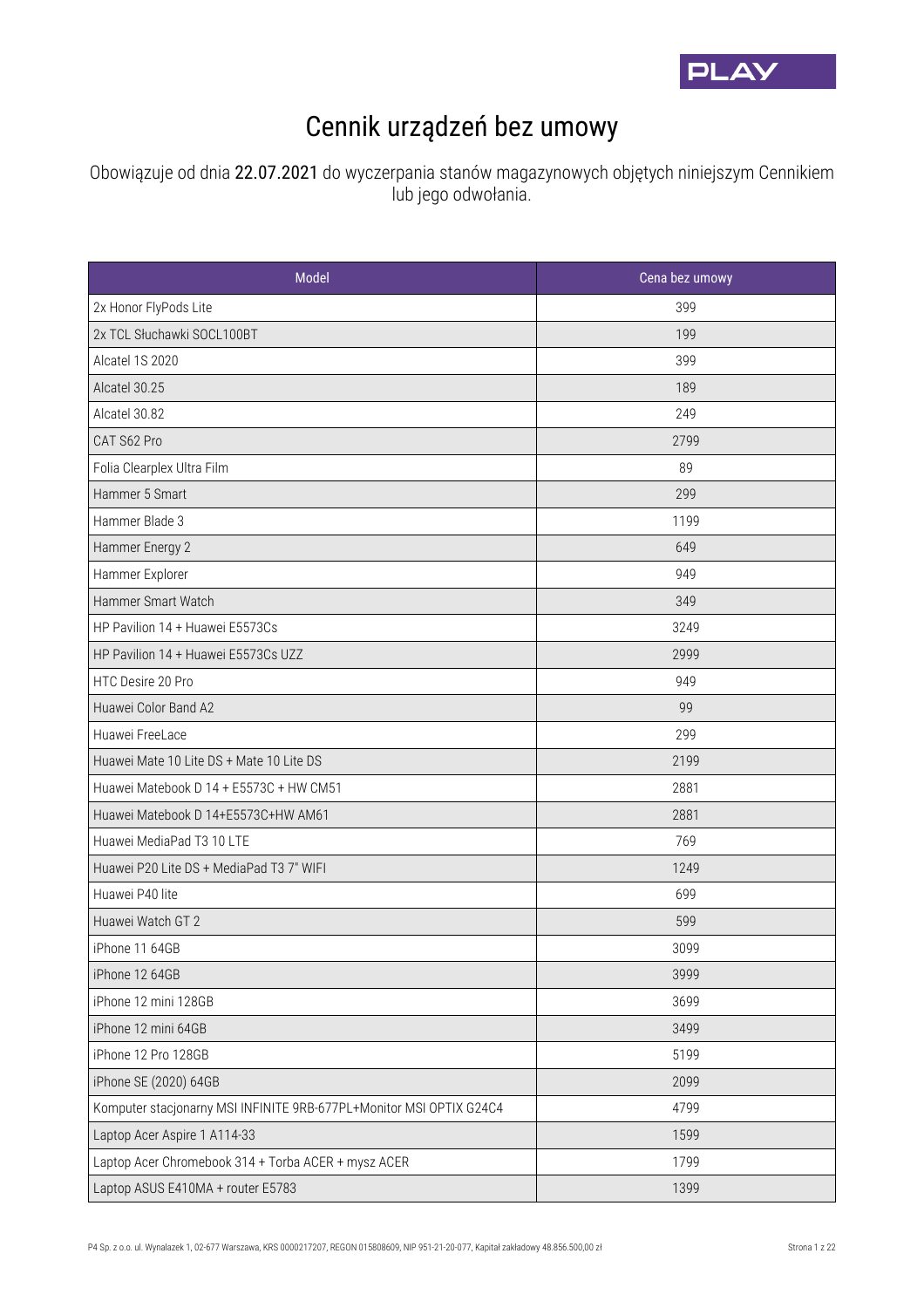

## Cennik urządzeń bez umowy

Obowiązuje od dnia 22.07.2021 do wyczerpania stanów magazynowych objętych niniejszym Cennikiem lub jego odwołania.

| Model                                                               | Cena bez umowy |
|---------------------------------------------------------------------|----------------|
| 2x Honor FlyPods Lite                                               | 399            |
| 2x TCL Słuchawki SOCL100BT                                          | 199            |
| Alcatel 1S 2020                                                     | 399            |
| Alcatel 30.25                                                       | 189            |
| Alcatel 30.82                                                       | 249            |
| CAT S62 Pro                                                         | 2799           |
| Folia Clearplex Ultra Film                                          | 89             |
| Hammer 5 Smart                                                      | 299            |
| Hammer Blade 3                                                      | 1199           |
| Hammer Energy 2                                                     | 649            |
| Hammer Explorer                                                     | 949            |
| Hammer Smart Watch                                                  | 349            |
| HP Pavilion 14 + Huawei E5573Cs                                     | 3249           |
| HP Pavilion 14 + Huawei E5573Cs UZZ                                 | 2999           |
| HTC Desire 20 Pro                                                   | 949            |
| Huawei Color Band A2                                                | 99             |
| Huawei FreeLace                                                     | 299            |
| Huawei Mate 10 Lite DS + Mate 10 Lite DS                            | 2199           |
| Huawei Matebook D 14 + E5573C + HW CM51                             | 2881           |
| Huawei Matebook D 14+E5573C+HW AM61                                 | 2881           |
| Huawei MediaPad T3 10 LTE                                           | 769            |
| Huawei P20 Lite DS + MediaPad T3 7" WIFI                            | 1249           |
| Huawei P40 lite                                                     | 699            |
| Huawei Watch GT 2                                                   | 599            |
| iPhone 11 64GB                                                      | 3099           |
| iPhone 12 64GB                                                      | 3999           |
| iPhone 12 mini 128GB                                                | 3699           |
| iPhone 12 mini 64GB                                                 | 3499           |
| iPhone 12 Pro 128GB                                                 | 5199           |
| iPhone SE (2020) 64GB                                               | 2099           |
| Komputer stacjonarny MSI INFINITE 9RB-677PL+Monitor MSI OPTIX G24C4 | 4799           |
| Laptop Acer Aspire 1 A114-33                                        | 1599           |
| Laptop Acer Chromebook 314 + Torba ACER + mysz ACER                 | 1799           |
| Laptop ASUS E410MA + router E5783                                   | 1399           |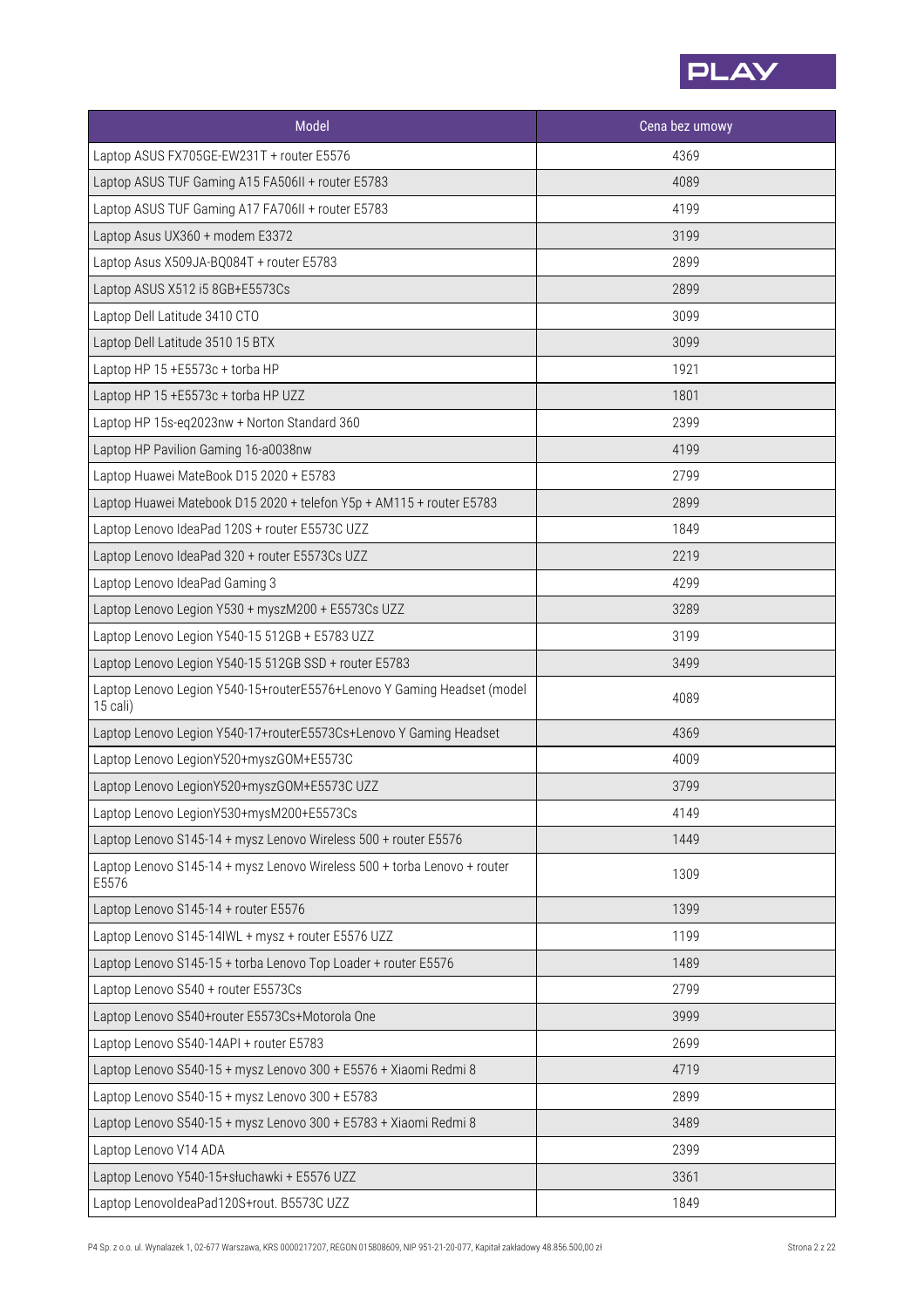

| Model                                                                               | Cena bez umowy |
|-------------------------------------------------------------------------------------|----------------|
| Laptop ASUS FX705GE-EW231T + router E5576                                           | 4369           |
| Laptop ASUS TUF Gaming A15 FA506II + router E5783                                   | 4089           |
| Laptop ASUS TUF Gaming A17 FA706II + router E5783                                   | 4199           |
| Laptop Asus UX360 + modem E3372                                                     | 3199           |
| Laptop Asus X509JA-BQ084T + router E5783                                            | 2899           |
| Laptop ASUS X512 i5 8GB+E5573Cs                                                     | 2899           |
| Laptop Dell Latitude 3410 CTO                                                       | 3099           |
| Laptop Dell Latitude 3510 15 BTX                                                    | 3099           |
| Laptop HP 15 +E5573c + torba HP                                                     | 1921           |
| Laptop HP 15 +E5573c + torba HP UZZ                                                 | 1801           |
| Laptop HP 15s-eq2023nw + Norton Standard 360                                        | 2399           |
| Laptop HP Pavilion Gaming 16-a0038nw                                                | 4199           |
| Laptop Huawei MateBook D15 2020 + E5783                                             | 2799           |
| Laptop Huawei Matebook D15 2020 + telefon Y5p + AM115 + router E5783                | 2899           |
| Laptop Lenovo IdeaPad 120S + router E5573C UZZ                                      | 1849           |
| Laptop Lenovo IdeaPad 320 + router E5573Cs UZZ                                      | 2219           |
| Laptop Lenovo IdeaPad Gaming 3                                                      | 4299           |
| Laptop Lenovo Legion Y530 + myszM200 + E5573Cs UZZ                                  | 3289           |
| Laptop Lenovo Legion Y540-15 512GB + E5783 UZZ                                      | 3199           |
| Laptop Lenovo Legion Y540-15 512GB SSD + router E5783                               | 3499           |
| Laptop Lenovo Legion Y540-15+routerE5576+Lenovo Y Gaming Headset (model<br>15 cali) | 4089           |
| Laptop Lenovo Legion Y540-17+routerE5573Cs+Lenovo Y Gaming Headset                  | 4369           |
| Laptop Lenovo LegionY520+myszGOM+E5573C                                             | 4009           |
| Laptop Lenovo LegionY520+myszGOM+E5573C UZZ                                         | 3799           |
| Laptop Lenovo LegionY530+mysM200+E5573Cs                                            | 4149           |
| Laptop Lenovo S145-14 + mysz Lenovo Wireless 500 + router E5576                     | 1449           |
| Laptop Lenovo S145-14 + mysz Lenovo Wireless 500 + torba Lenovo + router<br>E5576   | 1309           |
| Laptop Lenovo S145-14 + router E5576                                                | 1399           |
| Laptop Lenovo S145-14IWL + mysz + router E5576 UZZ                                  | 1199           |
| Laptop Lenovo S145-15 + torba Lenovo Top Loader + router E5576                      | 1489           |
| Laptop Lenovo S540 + router E5573Cs                                                 | 2799           |
| Laptop Lenovo S540+router E5573Cs+Motorola One                                      | 3999           |
| Laptop Lenovo S540-14API + router E5783                                             | 2699           |
| Laptop Lenovo S540-15 + mysz Lenovo 300 + E5576 + Xiaomi Redmi 8                    | 4719           |
| Laptop Lenovo S540-15 + mysz Lenovo 300 + E5783                                     | 2899           |
| Laptop Lenovo S540-15 + mysz Lenovo 300 + E5783 + Xiaomi Redmi 8                    | 3489           |
| Laptop Lenovo V14 ADA                                                               | 2399           |
| Laptop Lenovo Y540-15+słuchawki + E5576 UZZ                                         | 3361           |
| Laptop LenovoldeaPad120S+rout. B5573C UZZ                                           | 1849           |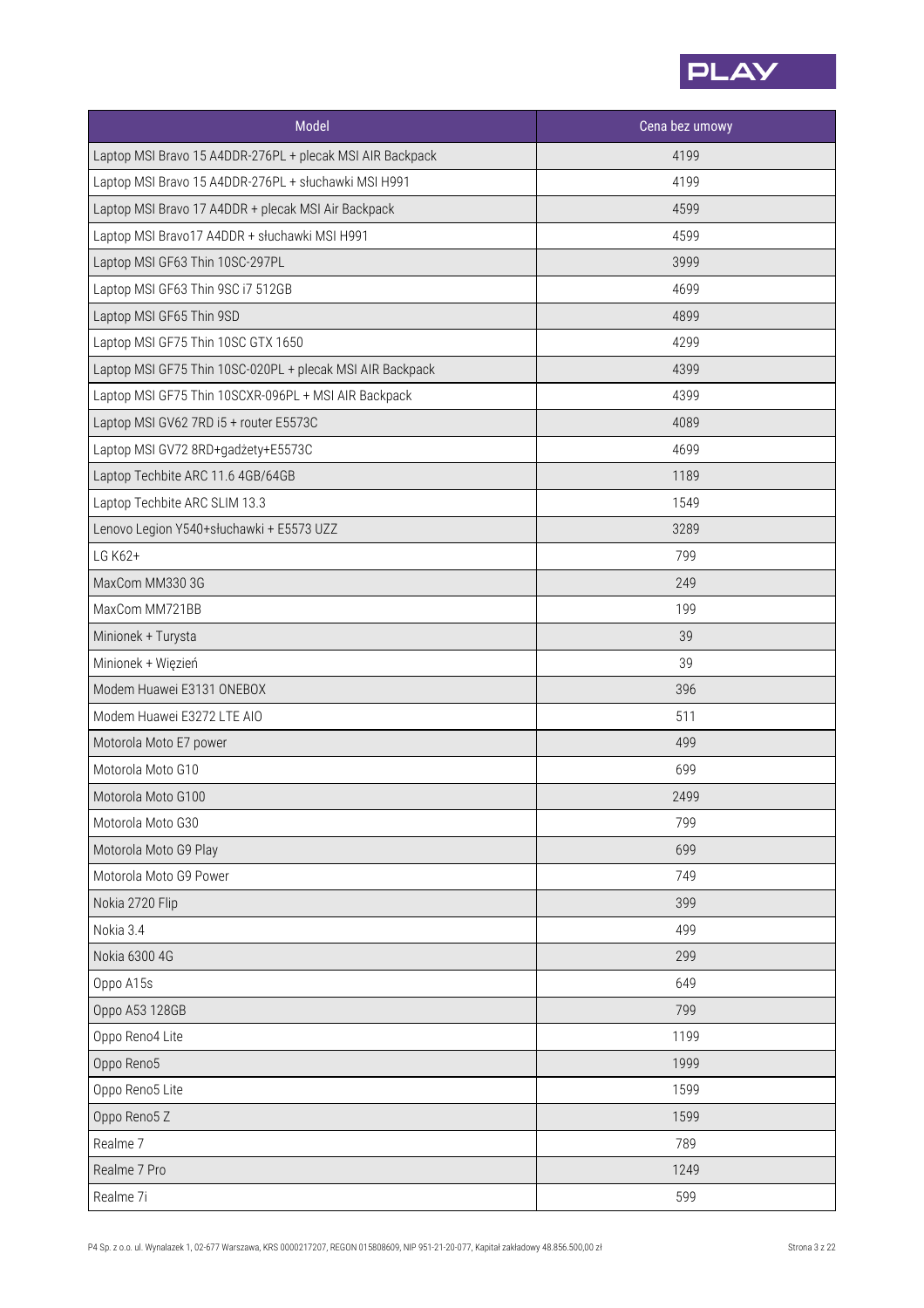

| Model                                                     | Cena bez umowy |
|-----------------------------------------------------------|----------------|
| Laptop MSI Bravo 15 A4DDR-276PL + plecak MSI AIR Backpack | 4199           |
| Laptop MSI Bravo 15 A4DDR-276PL + słuchawki MSI H991      | 4199           |
| Laptop MSI Bravo 17 A4DDR + plecak MSI Air Backpack       | 4599           |
| Laptop MSI Bravo17 A4DDR + słuchawki MSI H991             | 4599           |
| Laptop MSI GF63 Thin 10SC-297PL                           | 3999           |
| Laptop MSI GF63 Thin 9SC i7 512GB                         | 4699           |
| Laptop MSI GF65 Thin 9SD                                  | 4899           |
| Laptop MSI GF75 Thin 10SC GTX 1650                        | 4299           |
| Laptop MSI GF75 Thin 10SC-020PL + plecak MSI AIR Backpack | 4399           |
| Laptop MSI GF75 Thin 10SCXR-096PL + MSI AIR Backpack      | 4399           |
| Laptop MSI GV62 7RD i5 + router E5573C                    | 4089           |
| Laptop MSI GV72 8RD+gadżety+E5573C                        | 4699           |
| Laptop Techbite ARC 11.6 4GB/64GB                         | 1189           |
| Laptop Techbite ARC SLIM 13.3                             | 1549           |
| Lenovo Legion Y540+słuchawki + E5573 UZZ                  | 3289           |
| LG K62+                                                   | 799            |
| MaxCom MM330 3G                                           | 249            |
| MaxCom MM721BB                                            | 199            |
| Minionek + Turysta                                        | 39             |
| Minionek + Więzień                                        | 39             |
| Modem Huawei E3131 ONEBOX                                 | 396            |
| Modem Huawei E3272 LTE AIO                                | 511            |
| Motorola Moto E7 power                                    | 499            |
| Motorola Moto G10                                         | 699            |
| Motorola Moto G100                                        | 2499           |
| Motorola Moto G30                                         | 799            |
| Motorola Moto G9 Play                                     | 699            |
| Motorola Moto G9 Power                                    | 749            |
| Nokia 2720 Flip                                           | 399            |
| Nokia 3.4                                                 | 499            |
| Nokia 6300 4G                                             | 299            |
| Oppo A15s                                                 | 649            |
| Oppo A53 128GB                                            | 799            |
| Oppo Reno4 Lite                                           | 1199           |
| Oppo Reno5                                                | 1999           |
| Oppo Reno5 Lite                                           | 1599           |
| Oppo Reno5 Z                                              | 1599           |
| Realme 7                                                  | 789            |
| Realme 7 Pro                                              | 1249           |
| Realme 7i                                                 | 599            |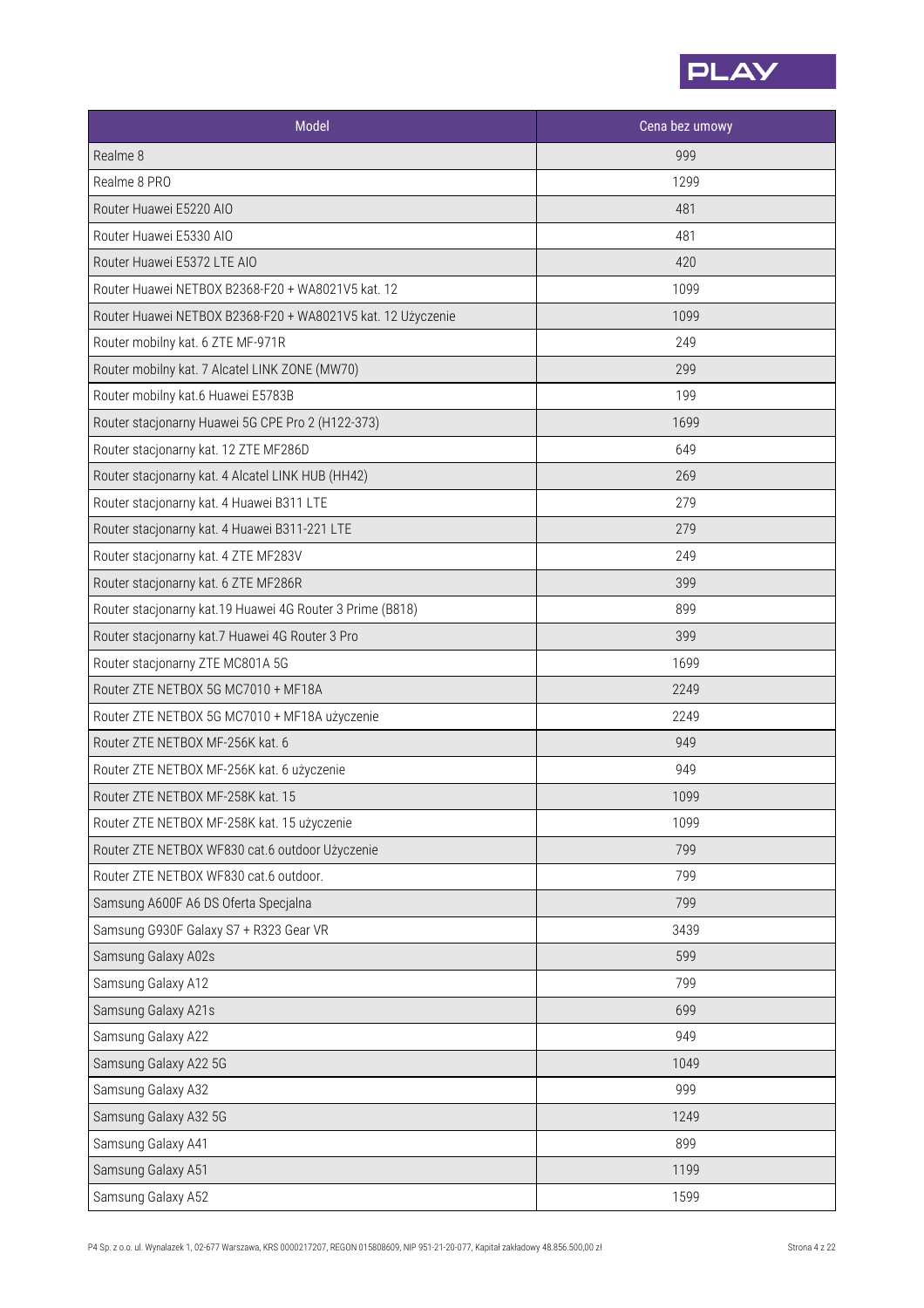

| Model                                                       | Cena bez umowy |
|-------------------------------------------------------------|----------------|
| Realme 8                                                    | 999            |
| Realme 8 PRO                                                | 1299           |
| Router Huawei E5220 AIO                                     | 481            |
| Router Huawei E5330 AIO                                     | 481            |
| Router Huawei E5372 LTE AIO                                 | 420            |
| Router Huawei NETBOX B2368-F20 + WA8021V5 kat. 12           | 1099           |
| Router Huawei NETBOX B2368-F20 + WA8021V5 kat. 12 Użyczenie | 1099           |
| Router mobilny kat. 6 ZTE MF-971R                           | 249            |
| Router mobilny kat. 7 Alcatel LINK ZONE (MW70)              | 299            |
| Router mobilny kat.6 Huawei E5783B                          | 199            |
| Router stacjonarny Huawei 5G CPE Pro 2 (H122-373)           | 1699           |
| Router stacjonarny kat. 12 ZTE MF286D                       | 649            |
| Router stacjonarny kat. 4 Alcatel LINK HUB (HH42)           | 269            |
| Router stacjonarny kat. 4 Huawei B311 LTE                   | 279            |
| Router stacjonarny kat. 4 Huawei B311-221 LTE               | 279            |
| Router stacjonarny kat. 4 ZTE MF283V                        | 249            |
| Router stacjonarny kat. 6 ZTE MF286R                        | 399            |
| Router stacjonarny kat.19 Huawei 4G Router 3 Prime (B818)   | 899            |
| Router stacjonarny kat.7 Huawei 4G Router 3 Pro             | 399            |
| Router stacjonarny ZTE MC801A 5G                            | 1699           |
| Router ZTE NETBOX 5G MC7010 + MF18A                         | 2249           |
| Router ZTE NETBOX 5G MC7010 + MF18A użyczenie               | 2249           |
| Router ZTE NETBOX MF-256K kat. 6                            | 949            |
| Router ZTE NETBOX MF-256K kat. 6 użyczenie                  | 949            |
| Router ZTE NETBOX MF-258K kat. 15                           | 1099           |
| Router ZTE NETBOX MF-258K kat. 15 użyczenie                 | 1099           |
| Router ZTE NETBOX WF830 cat.6 outdoor Użyczenie             | 799            |
| Router ZTE NETBOX WF830 cat.6 outdoor.                      | 799            |
| Samsung A600F A6 DS Oferta Specjalna                        | 799            |
| Samsung G930F Galaxy S7 + R323 Gear VR                      | 3439           |
| Samsung Galaxy A02s                                         | 599            |
| Samsung Galaxy A12                                          | 799            |
| Samsung Galaxy A21s                                         | 699            |
| Samsung Galaxy A22                                          | 949            |
| Samsung Galaxy A22 5G                                       | 1049           |
| Samsung Galaxy A32                                          | 999            |
| Samsung Galaxy A32 5G                                       | 1249           |
| Samsung Galaxy A41                                          | 899            |
| Samsung Galaxy A51                                          | 1199           |
| Samsung Galaxy A52                                          | 1599           |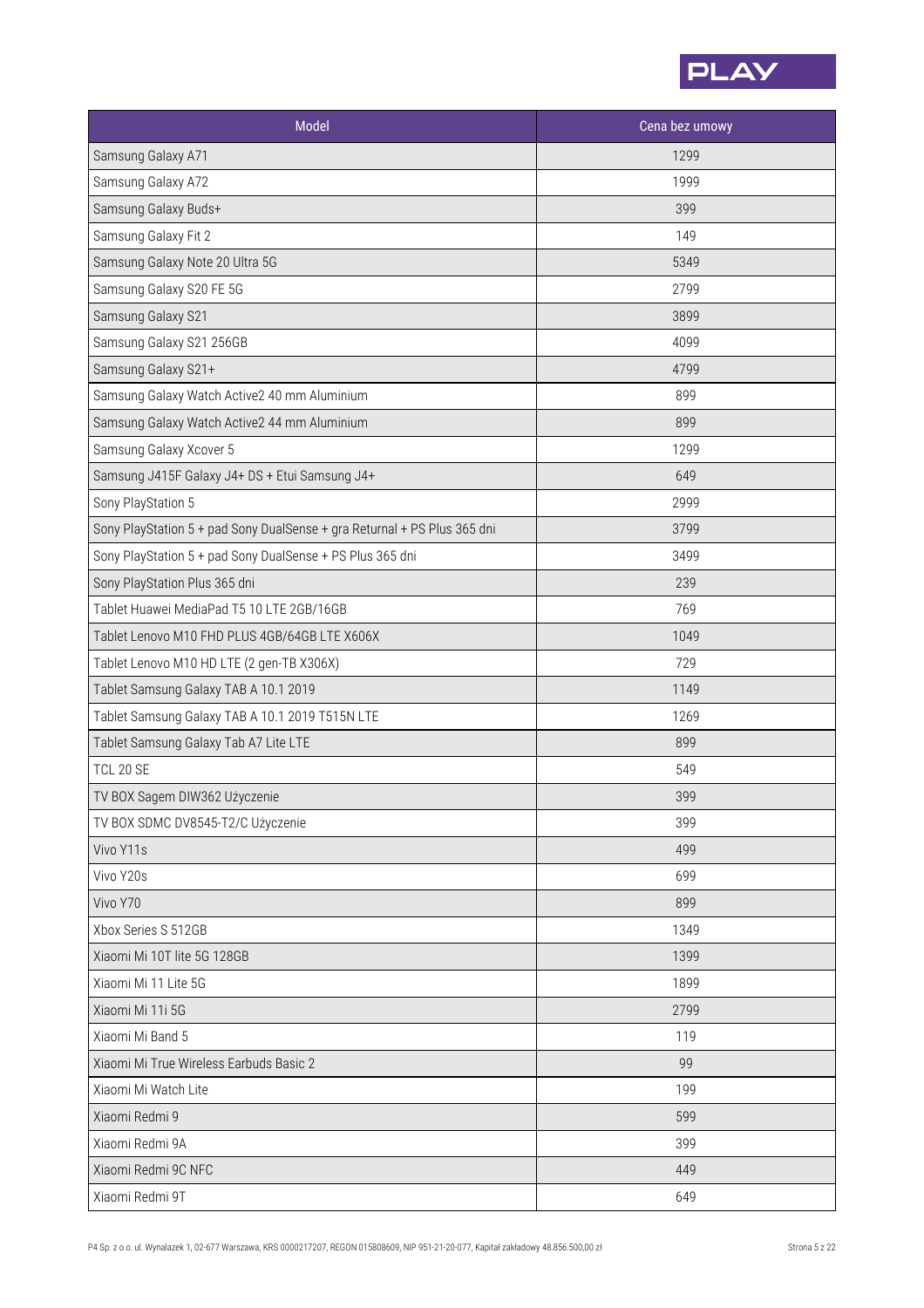

| Model                                                                    | Cena bez umowy |
|--------------------------------------------------------------------------|----------------|
| Samsung Galaxy A71                                                       | 1299           |
| Samsung Galaxy A72                                                       | 1999           |
| Samsung Galaxy Buds+                                                     | 399            |
| Samsung Galaxy Fit 2                                                     | 149            |
| Samsung Galaxy Note 20 Ultra 5G                                          | 5349           |
| Samsung Galaxy S20 FE 5G                                                 | 2799           |
| Samsung Galaxy S21                                                       | 3899           |
| Samsung Galaxy S21 256GB                                                 | 4099           |
| Samsung Galaxy S21+                                                      | 4799           |
| Samsung Galaxy Watch Active2 40 mm Aluminium                             | 899            |
| Samsung Galaxy Watch Active2 44 mm Aluminium                             | 899            |
| Samsung Galaxy Xcover 5                                                  | 1299           |
| Samsung J415F Galaxy J4+ DS + Etui Samsung J4+                           | 649            |
| Sony PlayStation 5                                                       | 2999           |
| Sony PlayStation 5 + pad Sony DualSense + gra Returnal + PS Plus 365 dni | 3799           |
| Sony PlayStation 5 + pad Sony DualSense + PS Plus 365 dni                | 3499           |
| Sony PlayStation Plus 365 dni                                            | 239            |
| Tablet Huawei MediaPad T5 10 LTE 2GB/16GB                                | 769            |
| Tablet Lenovo M10 FHD PLUS 4GB/64GB LTE X606X                            | 1049           |
| Tablet Lenovo M10 HD LTE (2 gen-TB X306X)                                | 729            |
| Tablet Samsung Galaxy TAB A 10.1 2019                                    | 1149           |
| Tablet Samsung Galaxy TAB A 10.1 2019 T515N LTE                          | 1269           |
| Tablet Samsung Galaxy Tab A7 Lite LTE                                    | 899            |
| <b>TCL 20 SE</b>                                                         | 549            |
| TV BOX Sagem DIW362 Użyczenie                                            | 399            |
| TV BOX SDMC DV8545-T2/C Użyczenie                                        | 399            |
| Vivo Y11s                                                                | 499            |
| Vivo Y20s                                                                | 699            |
| Vivo Y70                                                                 | 899            |
| Xbox Series S 512GB                                                      | 1349           |
| Xiaomi Mi 10T lite 5G 128GB                                              | 1399           |
| Xiaomi Mi 11 Lite 5G                                                     | 1899           |
| Xiaomi Mi 11i 5G                                                         | 2799           |
| Xiaomi Mi Band 5                                                         | 119            |
| Xiaomi Mi True Wireless Earbuds Basic 2                                  | 99             |
| Xiaomi Mi Watch Lite                                                     | 199            |
| Xiaomi Redmi 9                                                           | 599            |
| Xiaomi Redmi 9A                                                          | 399            |
| Xiaomi Redmi 9C NFC                                                      | 449            |
| Xiaomi Redmi 9T                                                          | 649            |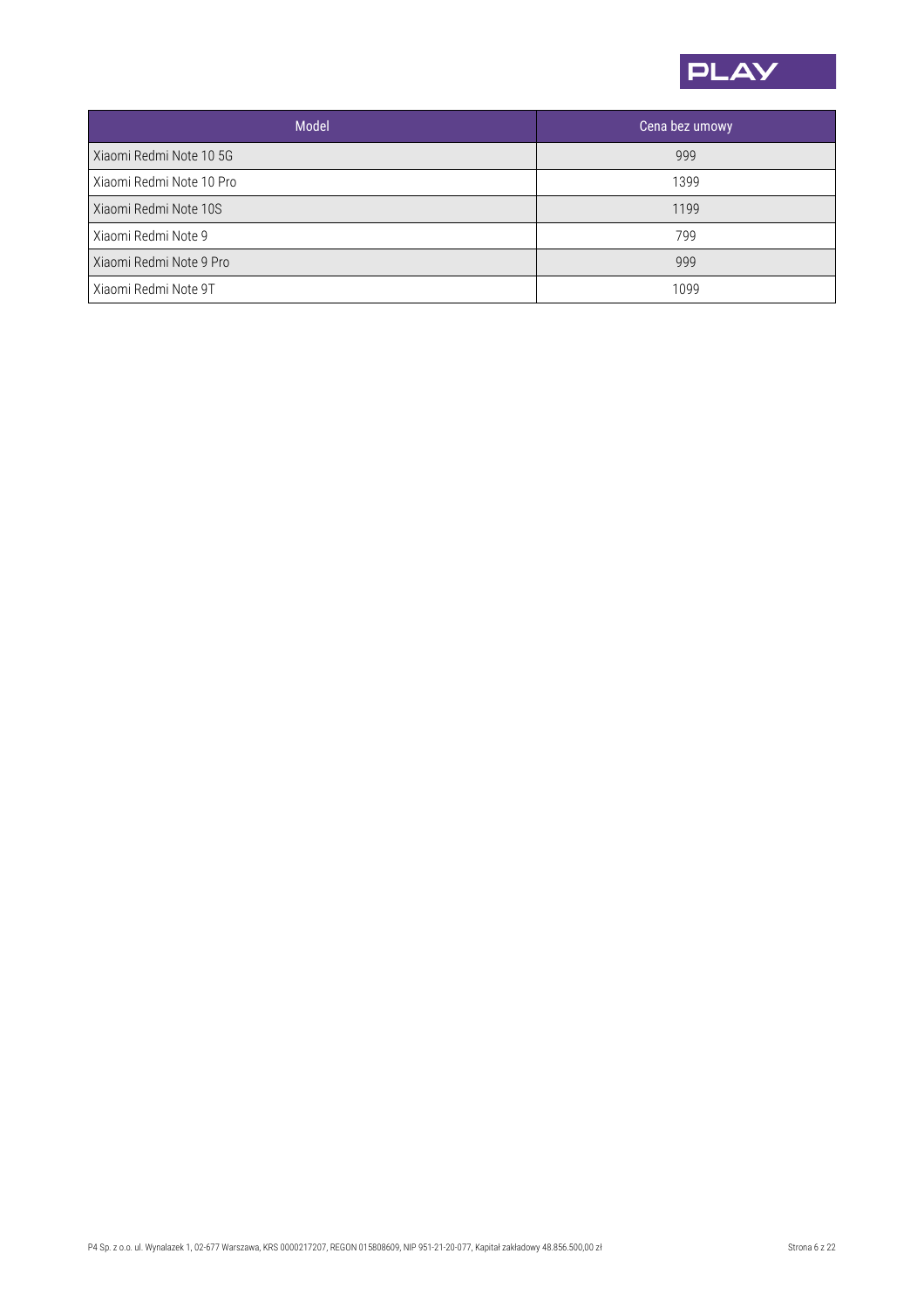

| <b>Model</b>             | Cena bez umowy |
|--------------------------|----------------|
| Xiaomi Redmi Note 10 5G  | 999            |
| Xiaomi Redmi Note 10 Pro | 1399           |
| Xiaomi Redmi Note 10S    | 1199           |
| Xiaomi Redmi Note 9      | 799            |
| Xiaomi Redmi Note 9 Pro  | 999            |
| Xiaomi Redmi Note 9T     | 1099           |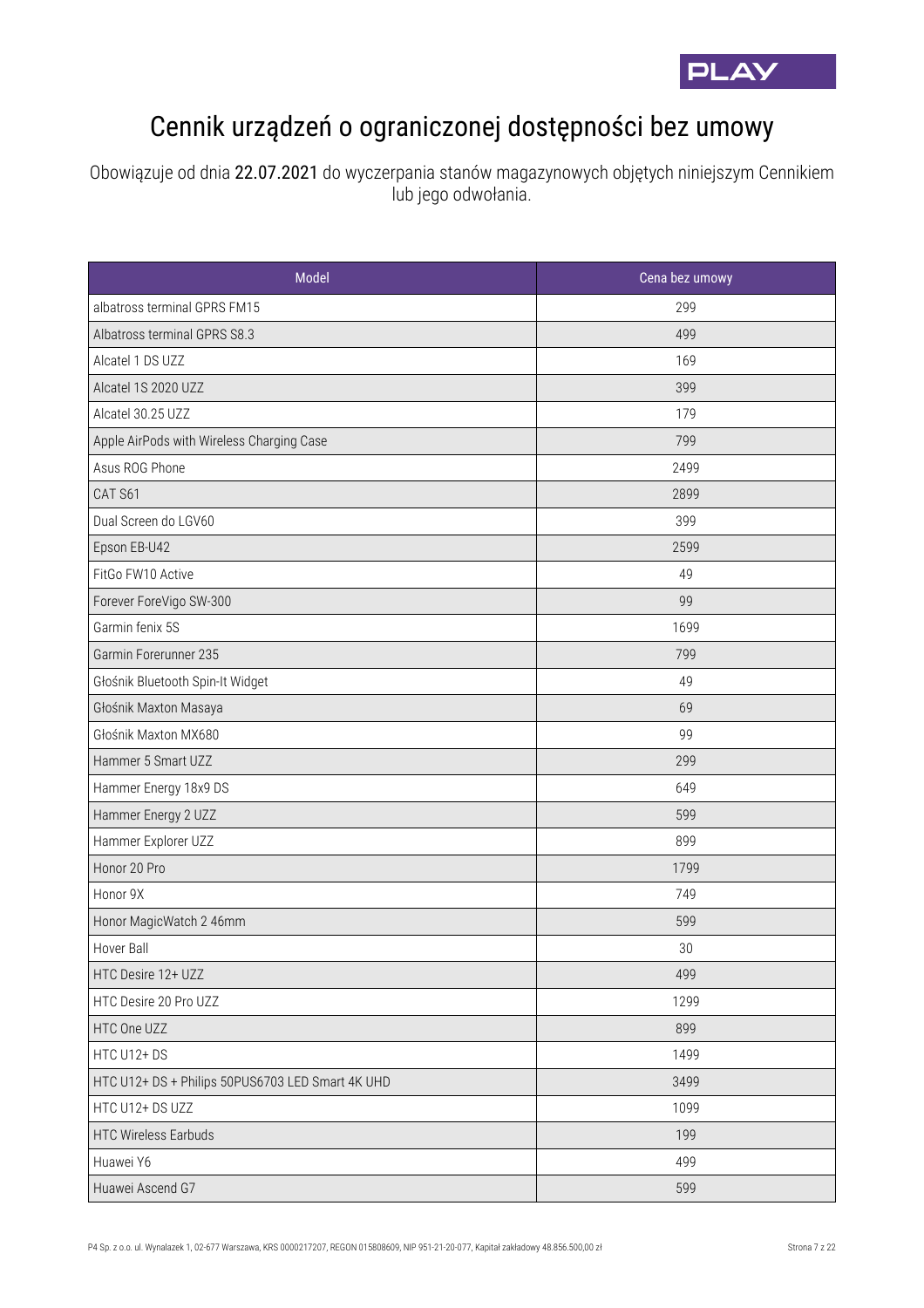

## Cennik urządzeń o ograniczonej dostępności bez umowy

Obowiązuje od dnia 22.07.2021 do wyczerpania stanów magazynowych objętych niniejszym Cennikiem lub jego odwołania.

| Model                                            | Cena bez umowy |
|--------------------------------------------------|----------------|
| albatross terminal GPRS FM15                     | 299            |
| Albatross terminal GPRS S8.3                     | 499            |
| Alcatel 1 DS UZZ                                 | 169            |
| Alcatel 1S 2020 UZZ                              | 399            |
| Alcatel 30.25 UZZ                                | 179            |
| Apple AirPods with Wireless Charging Case        | 799            |
| Asus ROG Phone                                   | 2499           |
| CAT S61                                          | 2899           |
| Dual Screen do LGV60                             | 399            |
| Epson EB-U42                                     | 2599           |
| FitGo FW10 Active                                | 49             |
| Forever ForeVigo SW-300                          | 99             |
| Garmin fenix 5S                                  | 1699           |
| Garmin Forerunner 235                            | 799            |
| Głośnik Bluetooth Spin-It Widget                 | 49             |
| Głośnik Maxton Masaya                            | 69             |
| Głośnik Maxton MX680                             | 99             |
| Hammer 5 Smart UZZ                               | 299            |
| Hammer Energy 18x9 DS                            | 649            |
| Hammer Energy 2 UZZ                              | 599            |
| Hammer Explorer UZZ                              | 899            |
| Honor 20 Pro                                     | 1799           |
| Honor 9X                                         | 749            |
| Honor MagicWatch 2 46mm                          | 599            |
| Hover Ball                                       | 30             |
| HTC Desire 12+ UZZ                               | 499            |
| HTC Desire 20 Pro UZZ                            | 1299           |
| HTC One UZZ                                      | 899            |
| HTC U12+DS                                       | 1499           |
| HTC U12+ DS + Philips 50PUS6703 LED Smart 4K UHD | 3499           |
| HTC U12+ DS UZZ                                  | 1099           |
| <b>HTC Wireless Earbuds</b>                      | 199            |
| Huawei Y6                                        | 499            |
| Huawei Ascend G7                                 | 599            |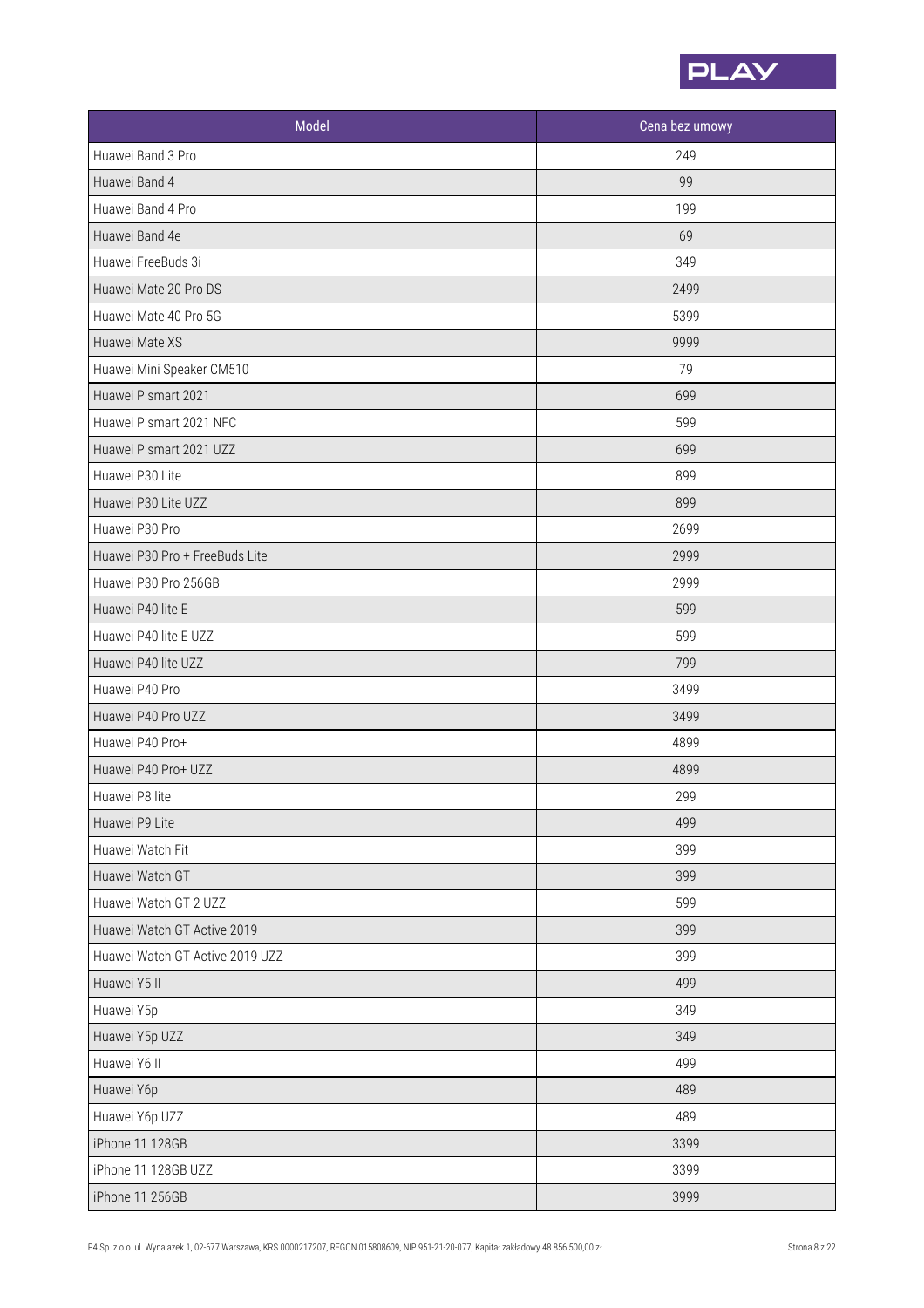

| Model                           | Cena bez umowy |
|---------------------------------|----------------|
| Huawei Band 3 Pro               | 249            |
| Huawei Band 4                   | 99             |
| Huawei Band 4 Pro               | 199            |
| Huawei Band 4e                  | 69             |
| Huawei FreeBuds 3i              | 349            |
| Huawei Mate 20 Pro DS           | 2499           |
| Huawei Mate 40 Pro 5G           | 5399           |
| Huawei Mate XS                  | 9999           |
| Huawei Mini Speaker CM510       | 79             |
| Huawei P smart 2021             | 699            |
| Huawei P smart 2021 NFC         | 599            |
| Huawei P smart 2021 UZZ         | 699            |
| Huawei P30 Lite                 | 899            |
| Huawei P30 Lite UZZ             | 899            |
| Huawei P30 Pro                  | 2699           |
| Huawei P30 Pro + FreeBuds Lite  | 2999           |
| Huawei P30 Pro 256GB            | 2999           |
| Huawei P40 lite E               | 599            |
| Huawei P40 lite E UZZ           | 599            |
| Huawei P40 lite UZZ             | 799            |
| Huawei P40 Pro                  | 3499           |
| Huawei P40 Pro UZZ              | 3499           |
| Huawei P40 Pro+                 | 4899           |
| Huawei P40 Pro+ UZZ             | 4899           |
| Huawei P8 lite                  | 299            |
| Huawei P9 Lite                  | 499            |
| Huawei Watch Fit                | 399            |
| Huawei Watch GT                 | 399            |
| Huawei Watch GT 2 UZZ           | 599            |
| Huawei Watch GT Active 2019     | 399            |
| Huawei Watch GT Active 2019 UZZ | 399            |
| Huawei Y5 II                    | 499            |
| Huawei Y5p                      | 349            |
| Huawei Y5p UZZ                  | 349            |
| Huawei Y6 II                    | 499            |
| Huawei Y6p                      | 489            |
| Huawei Y6p UZZ                  | 489            |
| iPhone 11 128GB                 | 3399           |
| iPhone 11 128GB UZZ             | 3399           |
| iPhone 11 256GB                 | 3999           |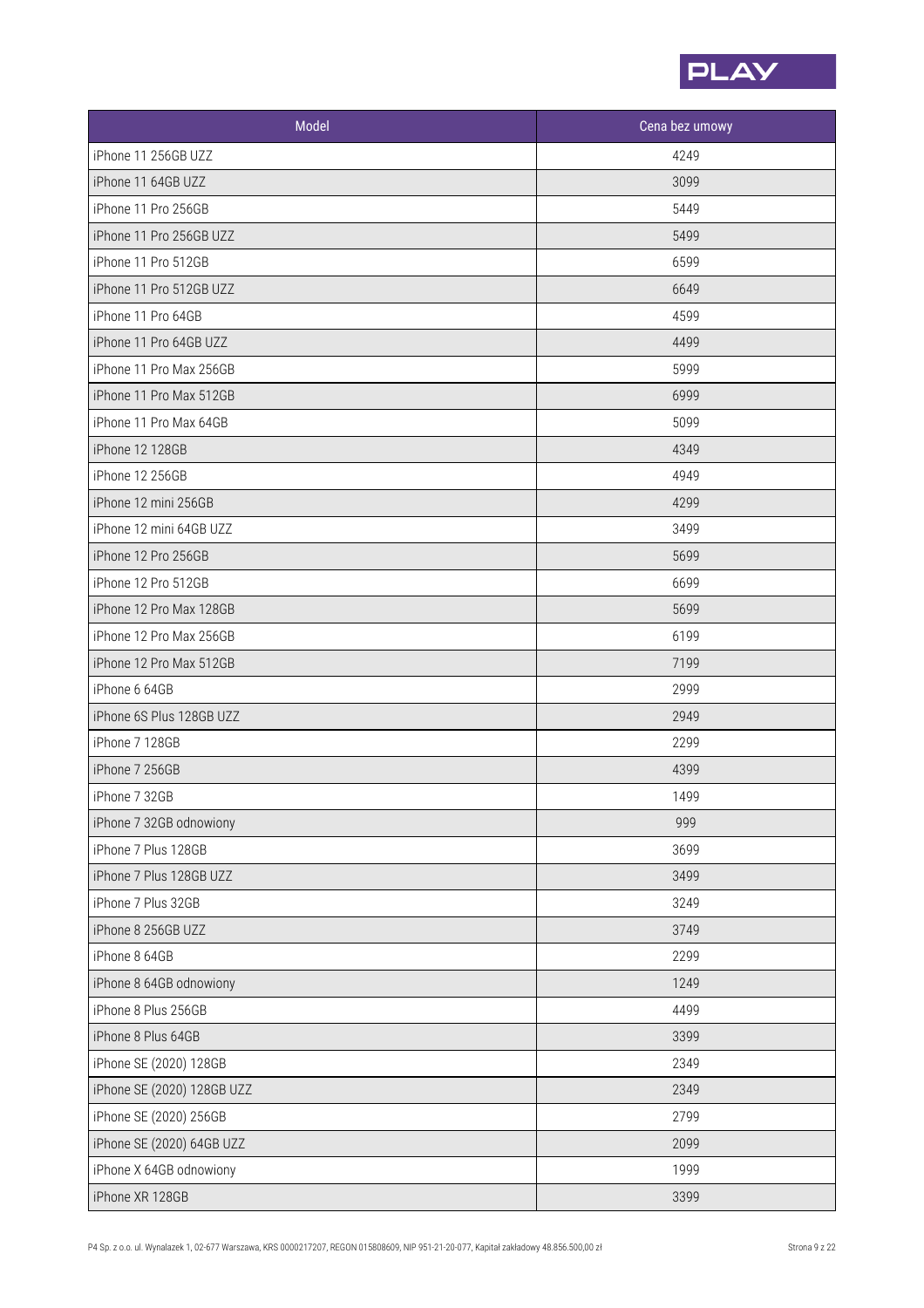

| Model                      | Cena bez umowy |
|----------------------------|----------------|
| iPhone 11 256GB UZZ        | 4249           |
| iPhone 11 64GB UZZ         | 3099           |
| iPhone 11 Pro 256GB        | 5449           |
| iPhone 11 Pro 256GB UZZ    | 5499           |
| iPhone 11 Pro 512GB        | 6599           |
| iPhone 11 Pro 512GB UZZ    | 6649           |
| iPhone 11 Pro 64GB         | 4599           |
| iPhone 11 Pro 64GB UZZ     | 4499           |
| iPhone 11 Pro Max 256GB    | 5999           |
| iPhone 11 Pro Max 512GB    | 6999           |
| iPhone 11 Pro Max 64GB     | 5099           |
| iPhone 12 128GB            | 4349           |
| iPhone 12 256GB            | 4949           |
| iPhone 12 mini 256GB       | 4299           |
| iPhone 12 mini 64GB UZZ    | 3499           |
| iPhone 12 Pro 256GB        | 5699           |
| iPhone 12 Pro 512GB        | 6699           |
| iPhone 12 Pro Max 128GB    | 5699           |
| iPhone 12 Pro Max 256GB    | 6199           |
| iPhone 12 Pro Max 512GB    | 7199           |
| iPhone 6 64GB              | 2999           |
| iPhone 6S Plus 128GB UZZ   | 2949           |
| iPhone 7 128GB             | 2299           |
| iPhone 7 256GB             | 4399           |
| iPhone 7 32GB              | 1499           |
| iPhone 7 32GB odnowiony    | 999            |
| iPhone 7 Plus 128GB        | 3699           |
| iPhone 7 Plus 128GB UZZ    | 3499           |
| iPhone 7 Plus 32GB         | 3249           |
| iPhone 8 256GB UZZ         | 3749           |
| iPhone 8 64GB              | 2299           |
| iPhone 8 64GB odnowiony    | 1249           |
| iPhone 8 Plus 256GB        | 4499           |
| iPhone 8 Plus 64GB         | 3399           |
| iPhone SE (2020) 128GB     | 2349           |
| iPhone SE (2020) 128GB UZZ | 2349           |
| iPhone SE (2020) 256GB     | 2799           |
| iPhone SE (2020) 64GB UZZ  | 2099           |
| iPhone X 64GB odnowiony    | 1999           |
| iPhone XR 128GB            | 3399           |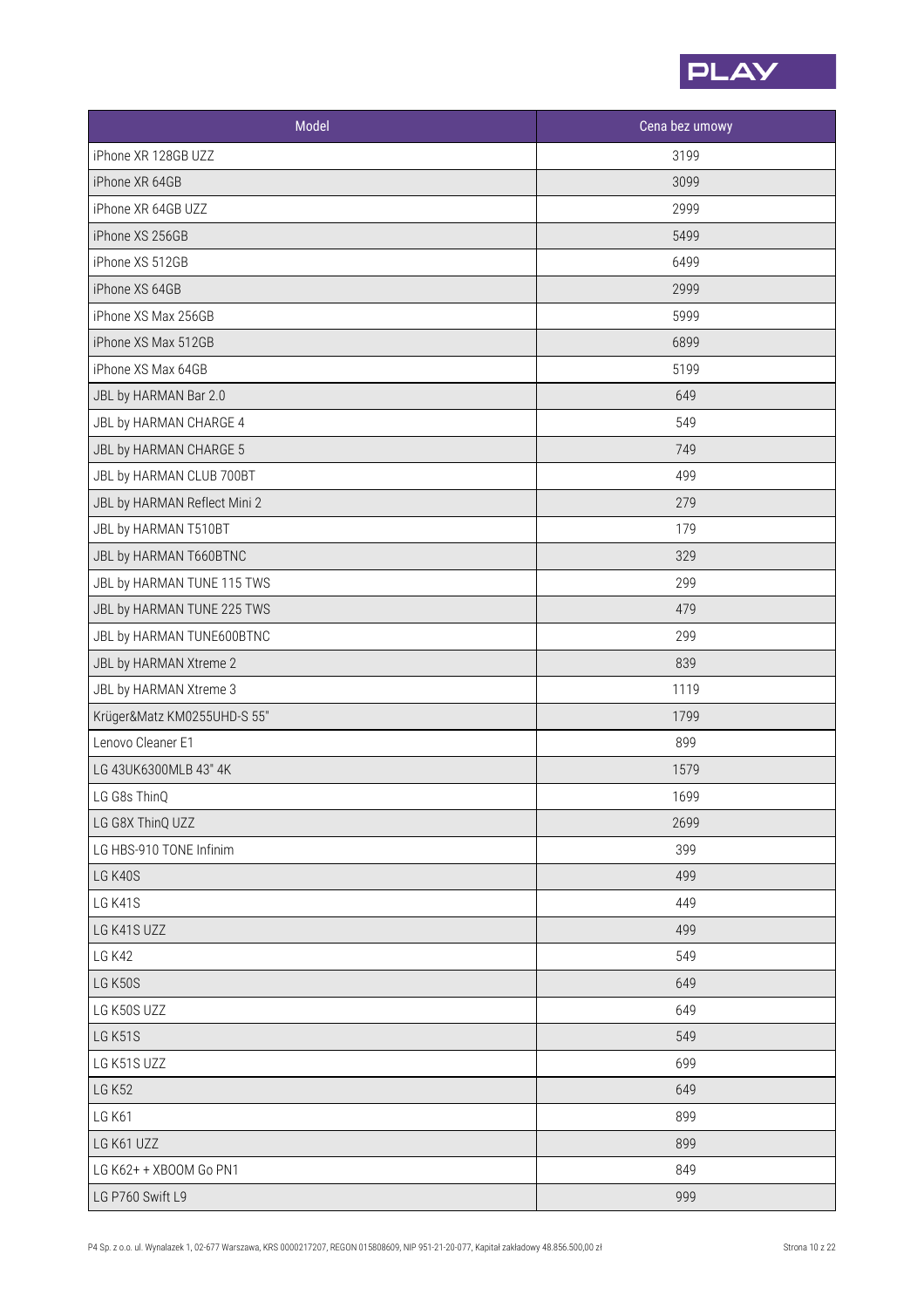

| Model                        | Cena bez umowy |
|------------------------------|----------------|
| iPhone XR 128GB UZZ          | 3199           |
| iPhone XR 64GB               | 3099           |
| iPhone XR 64GB UZZ           | 2999           |
| iPhone XS 256GB              | 5499           |
| iPhone XS 512GB              | 6499           |
| iPhone XS 64GB               | 2999           |
| iPhone XS Max 256GB          | 5999           |
| iPhone XS Max 512GB          | 6899           |
| iPhone XS Max 64GB           | 5199           |
| JBL by HARMAN Bar 2.0        | 649            |
| JBL by HARMAN CHARGE 4       | 549            |
| JBL by HARMAN CHARGE 5       | 749            |
| JBL by HARMAN CLUB 700BT     | 499            |
| JBL by HARMAN Reflect Mini 2 | 279            |
| JBL by HARMAN T510BT         | 179            |
| JBL by HARMAN T660BTNC       | 329            |
| JBL by HARMAN TUNE 115 TWS   | 299            |
| JBL by HARMAN TUNE 225 TWS   | 479            |
| JBL by HARMAN TUNE600BTNC    | 299            |
| JBL by HARMAN Xtreme 2       | 839            |
| JBL by HARMAN Xtreme 3       | 1119           |
| Krüger&Matz KM0255UHD-S 55"  | 1799           |
| Lenovo Cleaner E1            | 899            |
| LG 43UK6300MLB 43" 4K        | 1579           |
| LG G8s ThinQ                 | 1699           |
| LG G8X ThinQ UZZ             | 2699           |
| LG HBS-910 TONE Infinim      | 399            |
| LG K40S                      | 499            |
| LG K41S                      | 449            |
| LG K41S UZZ                  | 499            |
| <b>LG K42</b>                | 549            |
| LG K50S                      | 649            |
| LG K50S UZZ                  | 649            |
| LG K51S                      | 549            |
| LG K51S UZZ                  | 699            |
| <b>LG K52</b>                | 649            |
| <b>LG K61</b>                | 899            |
| LG K61 UZZ                   | 899            |
| LG K62+ + XBOOM Go PN1       | 849            |
| LG P760 Swift L9             | 999            |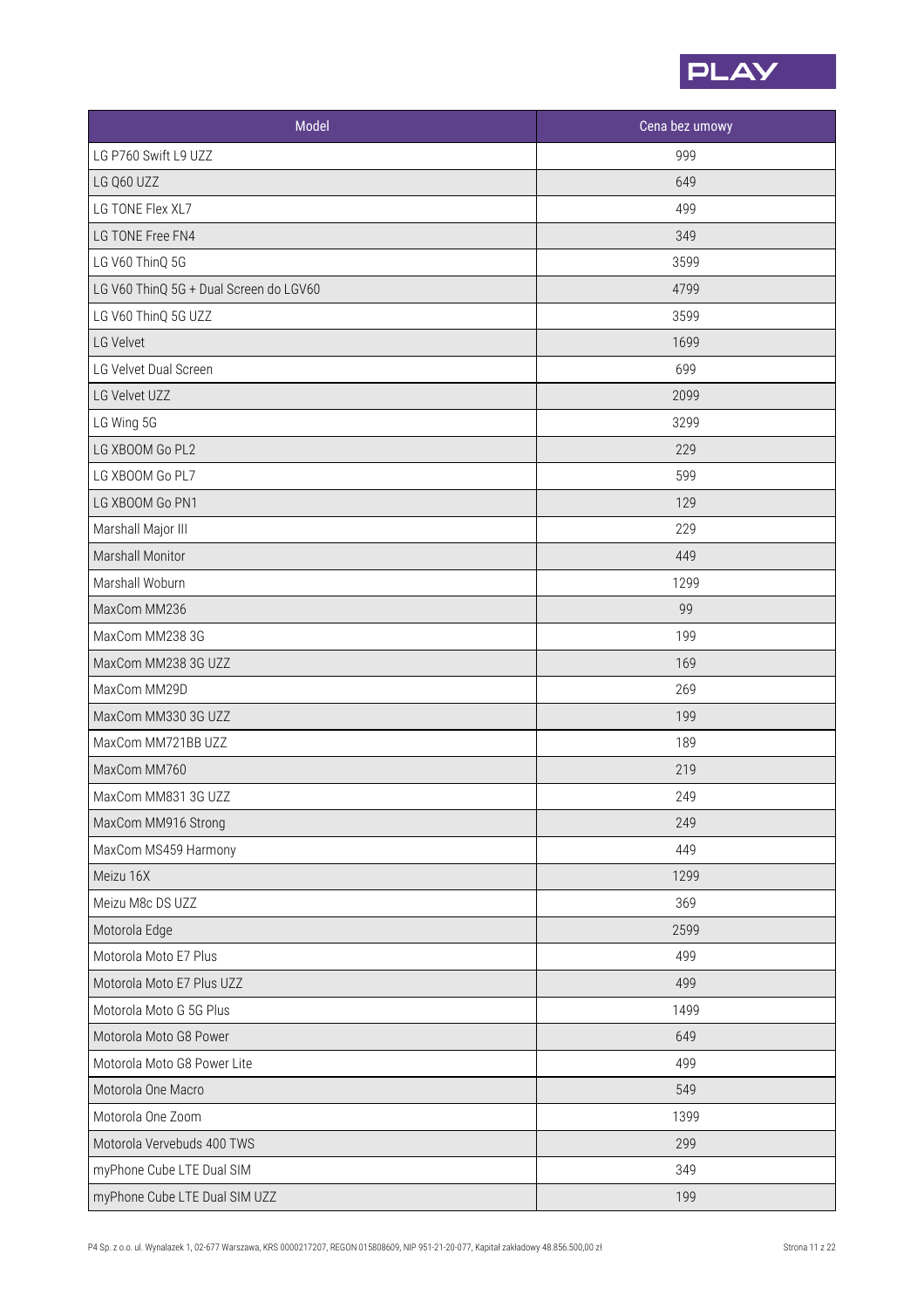

| Model                                  | Cena bez umowy |
|----------------------------------------|----------------|
| LG P760 Swift L9 UZZ                   | 999            |
| LG Q60 UZZ                             | 649            |
| LG TONE Flex XL7                       | 499            |
| LG TONE Free FN4                       | 349            |
| LG V60 ThinQ 5G                        | 3599           |
| LG V60 ThinQ 5G + Dual Screen do LGV60 | 4799           |
| LG V60 ThinQ 5G UZZ                    | 3599           |
| LG Velvet                              | 1699           |
| LG Velvet Dual Screen                  | 699            |
| LG Velvet UZZ                          | 2099           |
| LG Wing 5G                             | 3299           |
| LG XBOOM Go PL2                        | 229            |
| LG XBOOM Go PL7                        | 599            |
| LG XBOOM Go PN1                        | 129            |
| Marshall Major III                     | 229            |
| Marshall Monitor                       | 449            |
| Marshall Woburn                        | 1299           |
| MaxCom MM236                           | 99             |
| MaxCom MM238 3G                        | 199            |
| MaxCom MM238 3G UZZ                    | 169            |
| MaxCom MM29D                           | 269            |
| MaxCom MM330 3G UZZ                    | 199            |
| MaxCom MM721BB UZZ                     | 189            |
| MaxCom MM760                           | 219            |
| MaxCom MM831 3G UZZ                    | 249            |
| MaxCom MM916 Strong                    | 249            |
| MaxCom MS459 Harmony                   | 449            |
| Meizu 16X                              | 1299           |
| Meizu M8c DS UZZ                       | 369            |
| Motorola Edge                          | 2599           |
| Motorola Moto E7 Plus                  | 499            |
| Motorola Moto E7 Plus UZZ              | 499            |
| Motorola Moto G 5G Plus                | 1499           |
| Motorola Moto G8 Power                 | 649            |
| Motorola Moto G8 Power Lite            | 499            |
| Motorola One Macro                     | 549            |
| Motorola One Zoom                      | 1399           |
| Motorola Vervebuds 400 TWS             | 299            |
| myPhone Cube LTE Dual SIM              | 349            |
| myPhone Cube LTE Dual SIM UZZ          | 199            |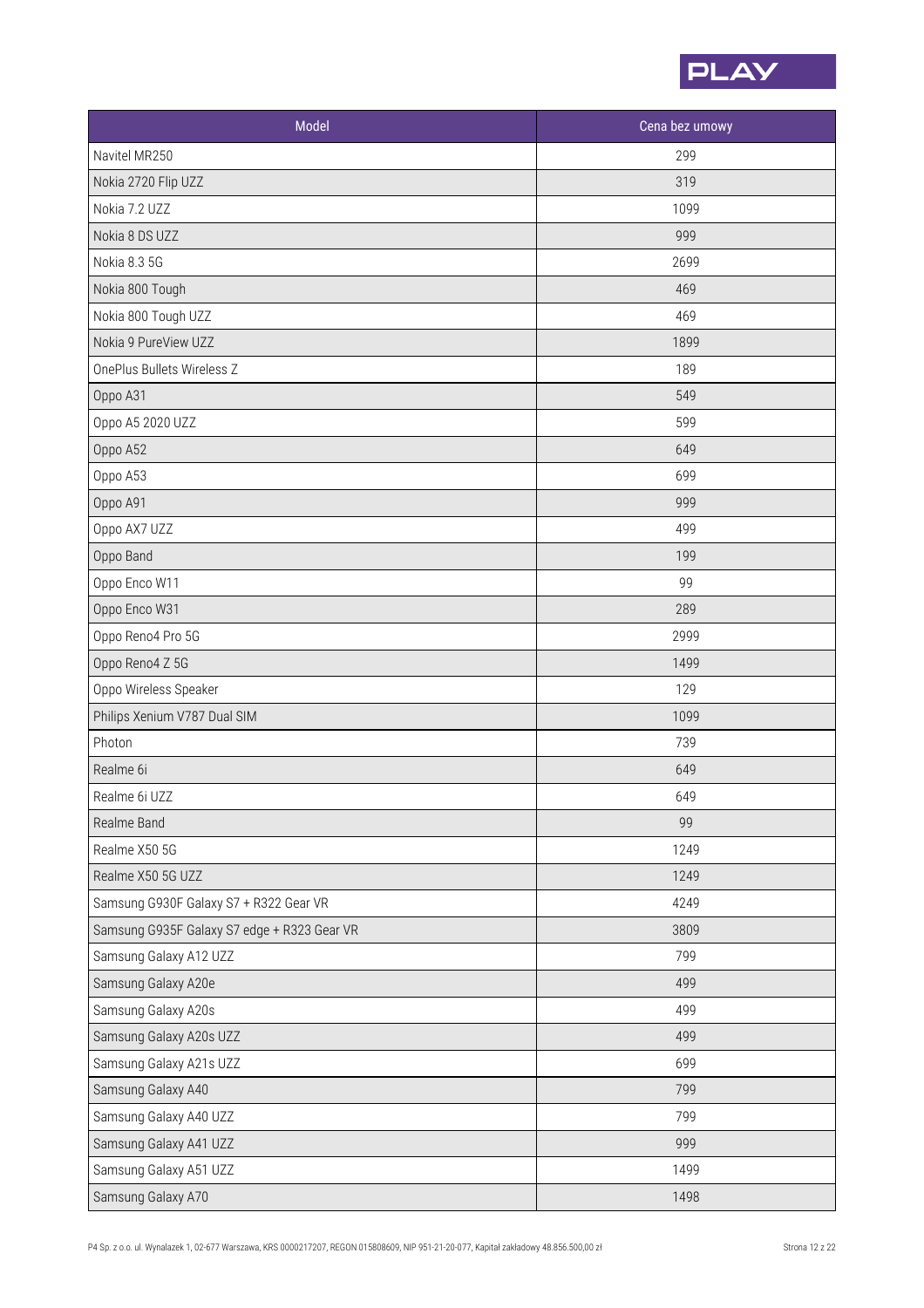

| Model                                       | Cena bez umowy |
|---------------------------------------------|----------------|
| Navitel MR250                               | 299            |
| Nokia 2720 Flip UZZ                         | 319            |
| Nokia 7.2 UZZ                               | 1099           |
| Nokia 8 DS UZZ                              | 999            |
| Nokia 8.3 5G                                | 2699           |
| Nokia 800 Tough                             | 469            |
| Nokia 800 Tough UZZ                         | 469            |
| Nokia 9 PureView UZZ                        | 1899           |
| OnePlus Bullets Wireless Z                  | 189            |
| Oppo A31                                    | 549            |
| Oppo A5 2020 UZZ                            | 599            |
| Oppo A52                                    | 649            |
| Oppo A53                                    | 699            |
| Oppo A91                                    | 999            |
| Oppo AX7 UZZ                                | 499            |
| Oppo Band                                   | 199            |
| Oppo Enco W11                               | 99             |
| Oppo Enco W31                               | 289            |
| Oppo Reno4 Pro 5G                           | 2999           |
| Oppo Reno4 Z 5G                             | 1499           |
| Oppo Wireless Speaker                       | 129            |
| Philips Xenium V787 Dual SIM                | 1099           |
| Photon                                      | 739            |
| Realme 6i                                   | 649            |
| Realme 6i UZZ                               | 649            |
| Realme Band                                 | 99             |
| Realme X50 5G                               | 1249           |
| Realme X50 5G UZZ                           | 1249           |
| Samsung G930F Galaxy S7 + R322 Gear VR      | 4249           |
| Samsung G935F Galaxy S7 edge + R323 Gear VR | 3809           |
| Samsung Galaxy A12 UZZ                      | 799            |
| Samsung Galaxy A20e                         | 499            |
| Samsung Galaxy A20s                         | 499            |
| Samsung Galaxy A20s UZZ                     | 499            |
| Samsung Galaxy A21s UZZ                     | 699            |
| Samsung Galaxy A40                          | 799            |
| Samsung Galaxy A40 UZZ                      | 799            |
| Samsung Galaxy A41 UZZ                      | 999            |
| Samsung Galaxy A51 UZZ                      | 1499           |
| Samsung Galaxy A70                          | 1498           |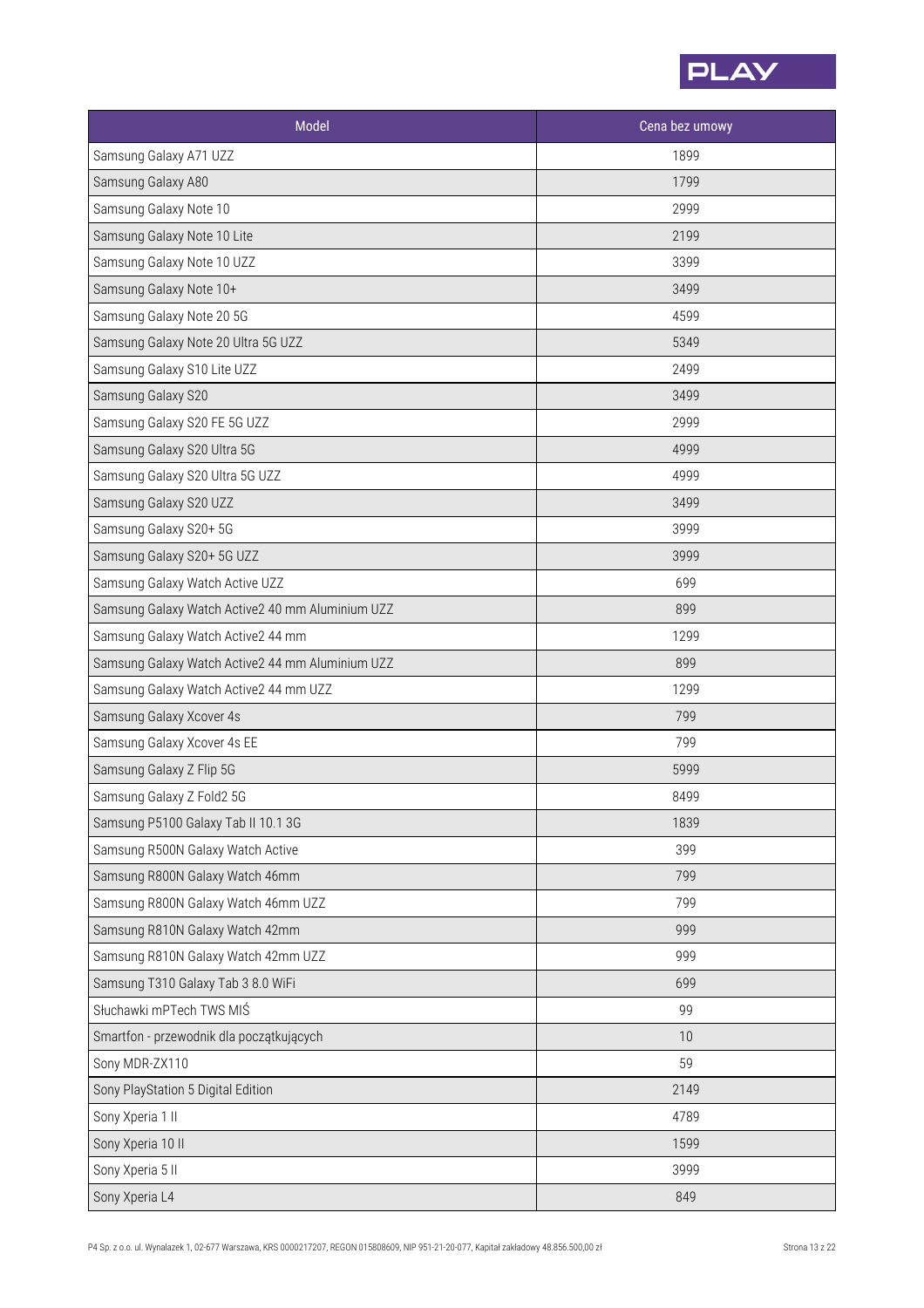

| Model                                            | Cena bez umowy |
|--------------------------------------------------|----------------|
| Samsung Galaxy A71 UZZ                           | 1899           |
| Samsung Galaxy A80                               | 1799           |
| Samsung Galaxy Note 10                           | 2999           |
| Samsung Galaxy Note 10 Lite                      | 2199           |
| Samsung Galaxy Note 10 UZZ                       | 3399           |
| Samsung Galaxy Note 10+                          | 3499           |
| Samsung Galaxy Note 20 5G                        | 4599           |
| Samsung Galaxy Note 20 Ultra 5G UZZ              | 5349           |
| Samsung Galaxy S10 Lite UZZ                      | 2499           |
| Samsung Galaxy S20                               | 3499           |
| Samsung Galaxy S20 FE 5G UZZ                     | 2999           |
| Samsung Galaxy S20 Ultra 5G                      | 4999           |
| Samsung Galaxy S20 Ultra 5G UZZ                  | 4999           |
| Samsung Galaxy S20 UZZ                           | 3499           |
| Samsung Galaxy S20+ 5G                           | 3999           |
| Samsung Galaxy S20+ 5G UZZ                       | 3999           |
| Samsung Galaxy Watch Active UZZ                  | 699            |
| Samsung Galaxy Watch Active2 40 mm Aluminium UZZ | 899            |
| Samsung Galaxy Watch Active2 44 mm               | 1299           |
| Samsung Galaxy Watch Active2 44 mm Aluminium UZZ | 899            |
| Samsung Galaxy Watch Active2 44 mm UZZ           | 1299           |
| Samsung Galaxy Xcover 4s                         | 799            |
| Samsung Galaxy Xcover 4s EE                      | 799            |
| Samsung Galaxy Z Flip 5G                         | 5999           |
| Samsung Galaxy Z Fold2 5G                        | 8499           |
| Samsung P5100 Galaxy Tab II 10.1 3G              | 1839           |
| Samsung R500N Galaxy Watch Active                | 399            |
| Samsung R800N Galaxy Watch 46mm                  | 799            |
| Samsung R800N Galaxy Watch 46mm UZZ              | 799            |
| Samsung R810N Galaxy Watch 42mm                  | 999            |
| Samsung R810N Galaxy Watch 42mm UZZ              | 999            |
| Samsung T310 Galaxy Tab 3 8.0 WiFi               | 699            |
| Słuchawki mPTech TWS MIŚ                         | 99             |
| Smartfon - przewodnik dla początkujących         | 10             |
| Sony MDR-ZX110                                   | 59             |
| Sony PlayStation 5 Digital Edition               | 2149           |
| Sony Xperia 1 II                                 | 4789           |
| Sony Xperia 10 II                                | 1599           |
| Sony Xperia 5 II                                 | 3999           |
| Sony Xperia L4                                   | 849            |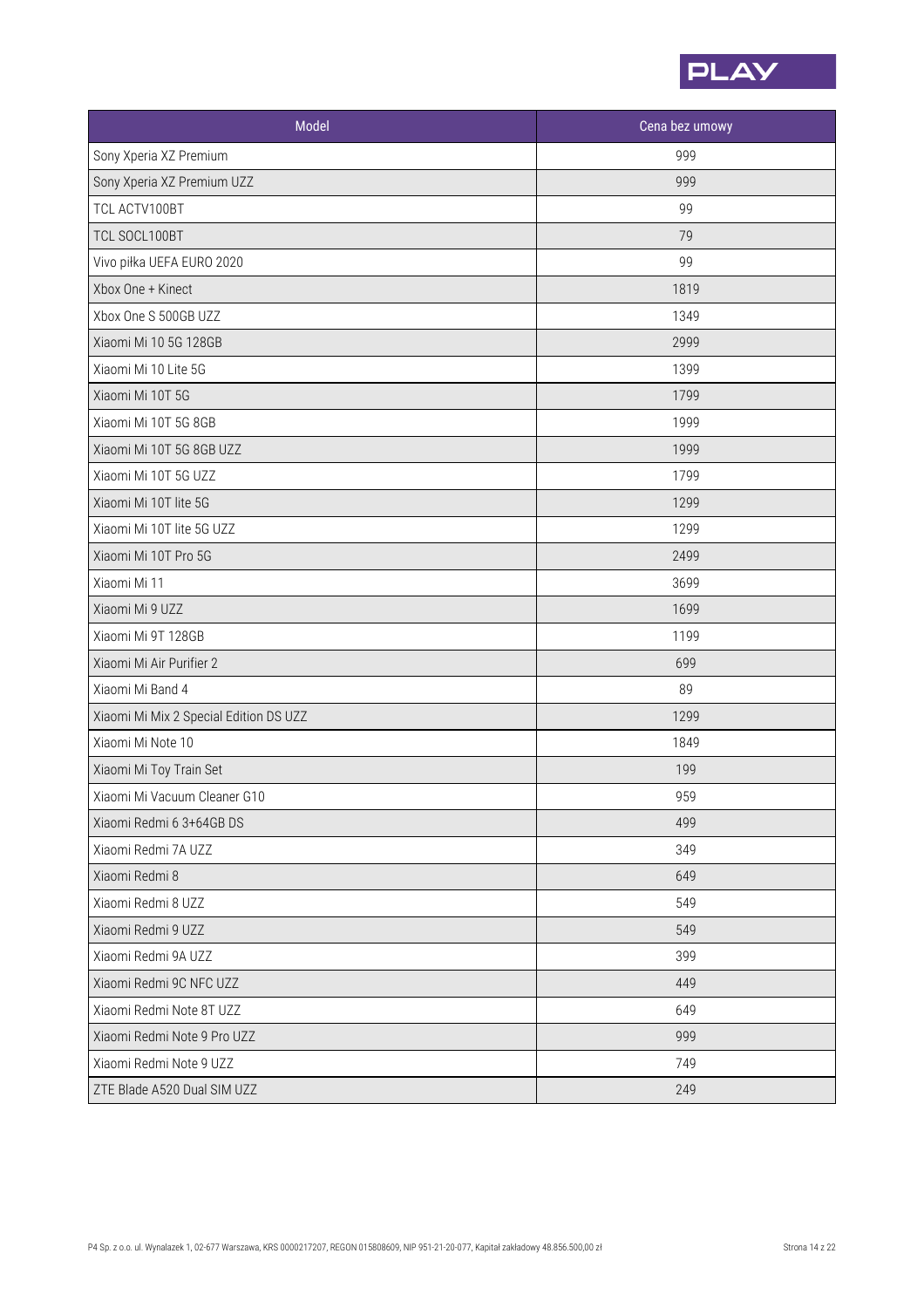

| Model                                  | Cena bez umowy |
|----------------------------------------|----------------|
| Sony Xperia XZ Premium                 | 999            |
| Sony Xperia XZ Premium UZZ             | 999            |
| TCL ACTV100BT                          | 99             |
| TCL SOCL100BT                          | 79             |
| Vivo piłka UEFA EURO 2020              | 99             |
| Xbox One + Kinect                      | 1819           |
| Xbox One S 500GB UZZ                   | 1349           |
| Xiaomi Mi 10 5G 128GB                  | 2999           |
| Xiaomi Mi 10 Lite 5G                   | 1399           |
| Xiaomi Mi 10T 5G                       | 1799           |
| Xiaomi Mi 10T 5G 8GB                   | 1999           |
| Xiaomi Mi 10T 5G 8GB UZZ               | 1999           |
| Xiaomi Mi 10T 5G UZZ                   | 1799           |
| Xiaomi Mi 10T lite 5G                  | 1299           |
| Xiaomi Mi 10T lite 5G UZZ              | 1299           |
| Xiaomi Mi 10T Pro 5G                   | 2499           |
| Xiaomi Mi 11                           | 3699           |
| Xiaomi Mi 9 UZZ                        | 1699           |
| Xiaomi Mi 9T 128GB                     | 1199           |
| Xiaomi Mi Air Purifier 2               | 699            |
| Xiaomi Mi Band 4                       | 89             |
| Xiaomi Mi Mix 2 Special Edition DS UZZ | 1299           |
| Xiaomi Mi Note 10                      | 1849           |
| Xiaomi Mi Toy Train Set                | 199            |
| Xiaomi Mi Vacuum Cleaner G10           | 959            |
| Xiaomi Redmi 6 3+64GB DS               | 499            |
| Xiaomi Redmi 7A UZZ                    | 349            |
| Xiaomi Redmi 8                         | 649            |
| Xiaomi Redmi 8 UZZ                     | 549            |
| Xiaomi Redmi 9 UZZ                     | 549            |
| Xiaomi Redmi 9A UZZ                    | 399            |
| Xiaomi Redmi 9C NFC UZZ                | 449            |
| Xiaomi Redmi Note 8T UZZ               | 649            |
| Xiaomi Redmi Note 9 Pro UZZ            | 999            |
| Xiaomi Redmi Note 9 UZZ                | 749            |
| ZTE Blade A520 Dual SIM UZZ            | 249            |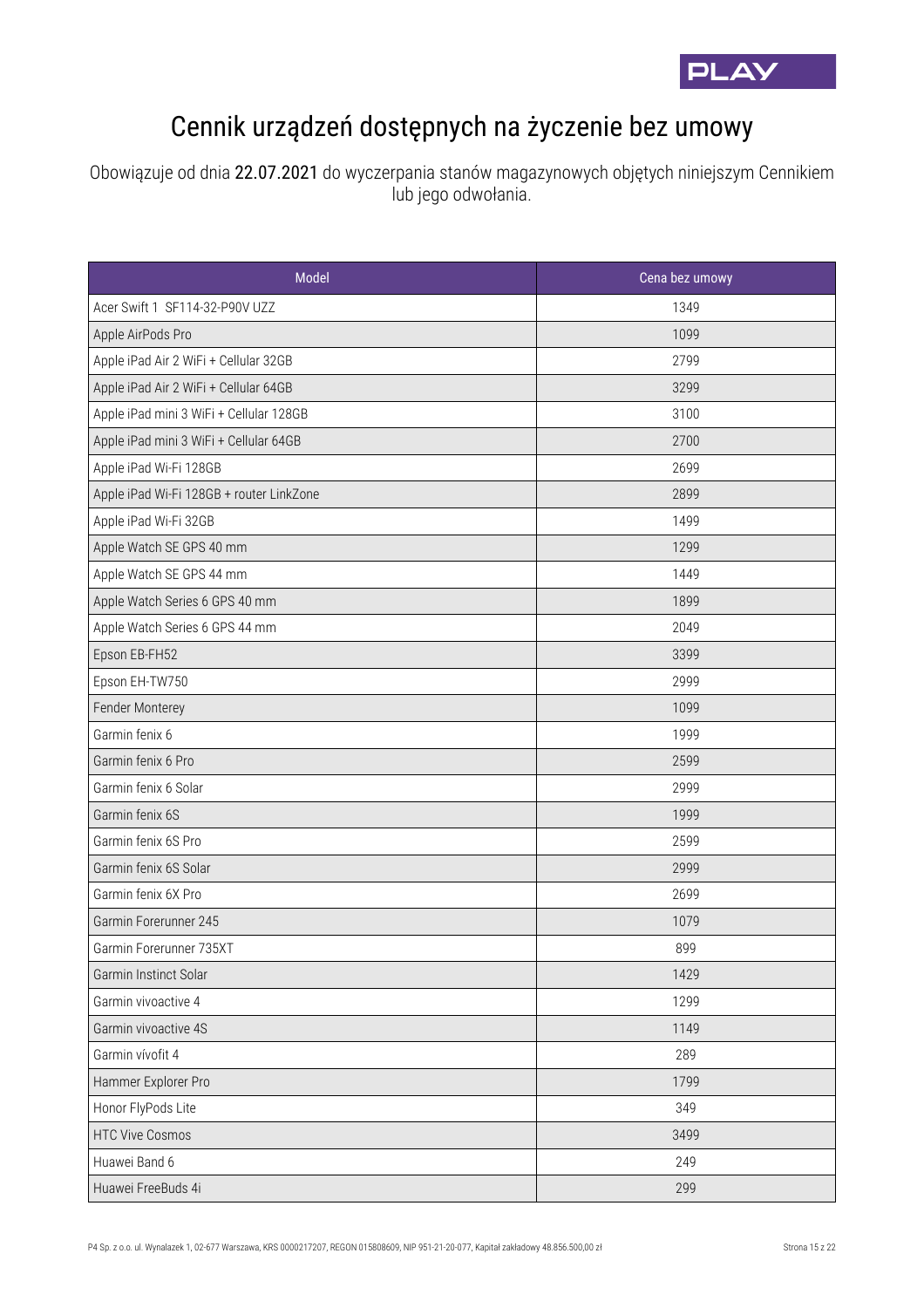

## Cennik urządzeń dostępnych na życzenie bez umowy

Obowiązuje od dnia 22.07.2021 do wyczerpania stanów magazynowych objętych niniejszym Cennikiem lub jego odwołania.

| Model                                    | Cena bez umowy |
|------------------------------------------|----------------|
| Acer Swift 1 SF114-32-P90V UZZ           | 1349           |
| Apple AirPods Pro                        | 1099           |
| Apple iPad Air 2 WiFi + Cellular 32GB    | 2799           |
| Apple iPad Air 2 WiFi + Cellular 64GB    | 3299           |
| Apple iPad mini 3 WiFi + Cellular 128GB  | 3100           |
| Apple iPad mini 3 WiFi + Cellular 64GB   | 2700           |
| Apple iPad Wi-Fi 128GB                   | 2699           |
| Apple iPad Wi-Fi 128GB + router LinkZone | 2899           |
| Apple iPad Wi-Fi 32GB                    | 1499           |
| Apple Watch SE GPS 40 mm                 | 1299           |
| Apple Watch SE GPS 44 mm                 | 1449           |
| Apple Watch Series 6 GPS 40 mm           | 1899           |
| Apple Watch Series 6 GPS 44 mm           | 2049           |
| Epson EB-FH52                            | 3399           |
| Epson EH-TW750                           | 2999           |
| Fender Monterey                          | 1099           |
| Garmin fenix 6                           | 1999           |
| Garmin fenix 6 Pro                       | 2599           |
| Garmin fenix 6 Solar                     | 2999           |
| Garmin fenix 6S                          | 1999           |
| Garmin fenix 6S Pro                      | 2599           |
| Garmin fenix 6S Solar                    | 2999           |
| Garmin fenix 6X Pro                      | 2699           |
| Garmin Forerunner 245                    | 1079           |
| Garmin Forerunner 735XT                  | 899            |
| Garmin Instinct Solar                    | 1429           |
| Garmin vivoactive 4                      | 1299           |
| Garmin vivoactive 4S                     | 1149           |
| Garmin vívofit 4                         | 289            |
| Hammer Explorer Pro                      | 1799           |
| Honor FlyPods Lite                       | 349            |
| <b>HTC Vive Cosmos</b>                   | 3499           |
| Huawei Band 6                            | 249            |
| Huawei FreeBuds 4i                       | 299            |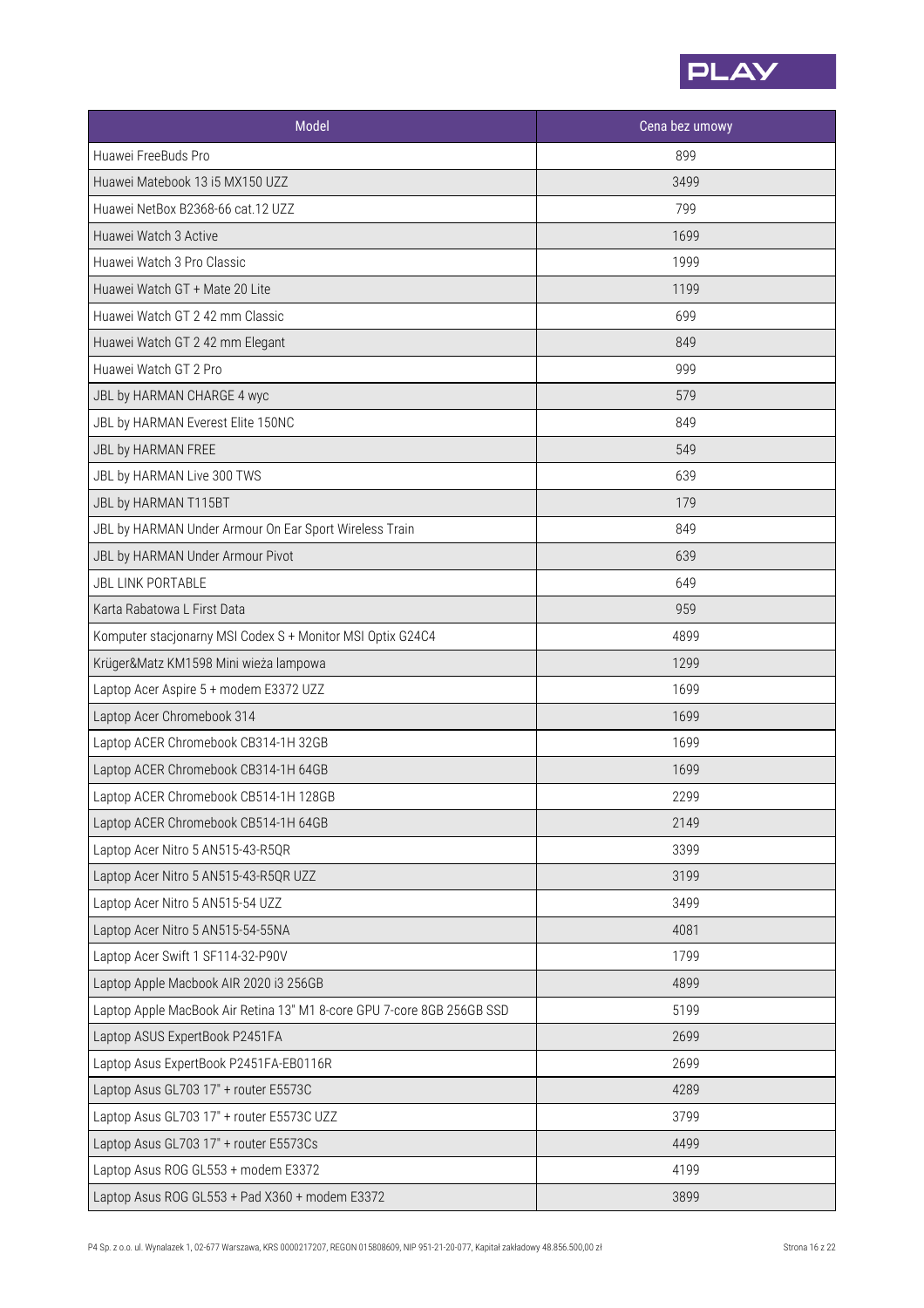

| Model                                                                  | Cena bez umowy |
|------------------------------------------------------------------------|----------------|
| Huawei FreeBuds Pro                                                    | 899            |
| Huawei Matebook 13 i5 MX150 UZZ                                        | 3499           |
| Huawei NetBox B2368-66 cat.12 UZZ                                      | 799            |
| Huawei Watch 3 Active                                                  | 1699           |
| Huawei Watch 3 Pro Classic                                             | 1999           |
| Huawei Watch GT + Mate 20 Lite                                         | 1199           |
| Huawei Watch GT 2 42 mm Classic                                        | 699            |
| Huawei Watch GT 2 42 mm Elegant                                        | 849            |
| Huawei Watch GT 2 Pro                                                  | 999            |
| JBL by HARMAN CHARGE 4 wyc                                             | 579            |
| JBL by HARMAN Everest Elite 150NC                                      | 849            |
| JBL by HARMAN FREE                                                     | 549            |
| JBL by HARMAN Live 300 TWS                                             | 639            |
| JBL by HARMAN T115BT                                                   | 179            |
| JBL by HARMAN Under Armour On Ear Sport Wireless Train                 | 849            |
| JBL by HARMAN Under Armour Pivot                                       | 639            |
| <b>JBL LINK PORTABLE</b>                                               | 649            |
| Karta Rabatowa L First Data                                            | 959            |
| Komputer stacjonarny MSI Codex S + Monitor MSI Optix G24C4             | 4899           |
| Krüger&Matz KM1598 Mini wieża lampowa                                  | 1299           |
| Laptop Acer Aspire 5 + modem E3372 UZZ                                 | 1699           |
| Laptop Acer Chromebook 314                                             | 1699           |
| Laptop ACER Chromebook CB314-1H 32GB                                   | 1699           |
| Laptop ACER Chromebook CB314-1H 64GB                                   | 1699           |
| Laptop ACER Chromebook CB514-1H 128GB                                  | 2299           |
| Laptop ACER Chromebook CB514-1H 64GB                                   | 2149           |
| Laptop Acer Nitro 5 AN515-43-R5QR                                      | 3399           |
| Laptop Acer Nitro 5 AN515-43-R5QR UZZ                                  | 3199           |
| Laptop Acer Nitro 5 AN515-54 UZZ                                       | 3499           |
| Laptop Acer Nitro 5 AN515-54-55NA                                      | 4081           |
| Laptop Acer Swift 1 SF114-32-P90V                                      | 1799           |
| Laptop Apple Macbook AIR 2020 i3 256GB                                 | 4899           |
| Laptop Apple MacBook Air Retina 13" M1 8-core GPU 7-core 8GB 256GB SSD | 5199           |
| Laptop ASUS ExpertBook P2451FA                                         | 2699           |
| Laptop Asus ExpertBook P2451FA-EB0116R                                 | 2699           |
| Laptop Asus GL703 17" + router E5573C                                  | 4289           |
| Laptop Asus GL703 17" + router E5573C UZZ                              | 3799           |
| Laptop Asus GL703 17" + router E5573Cs                                 | 4499           |
| Laptop Asus ROG GL553 + modem E3372                                    | 4199           |
| Laptop Asus ROG GL553 + Pad X360 + modem E3372                         | 3899           |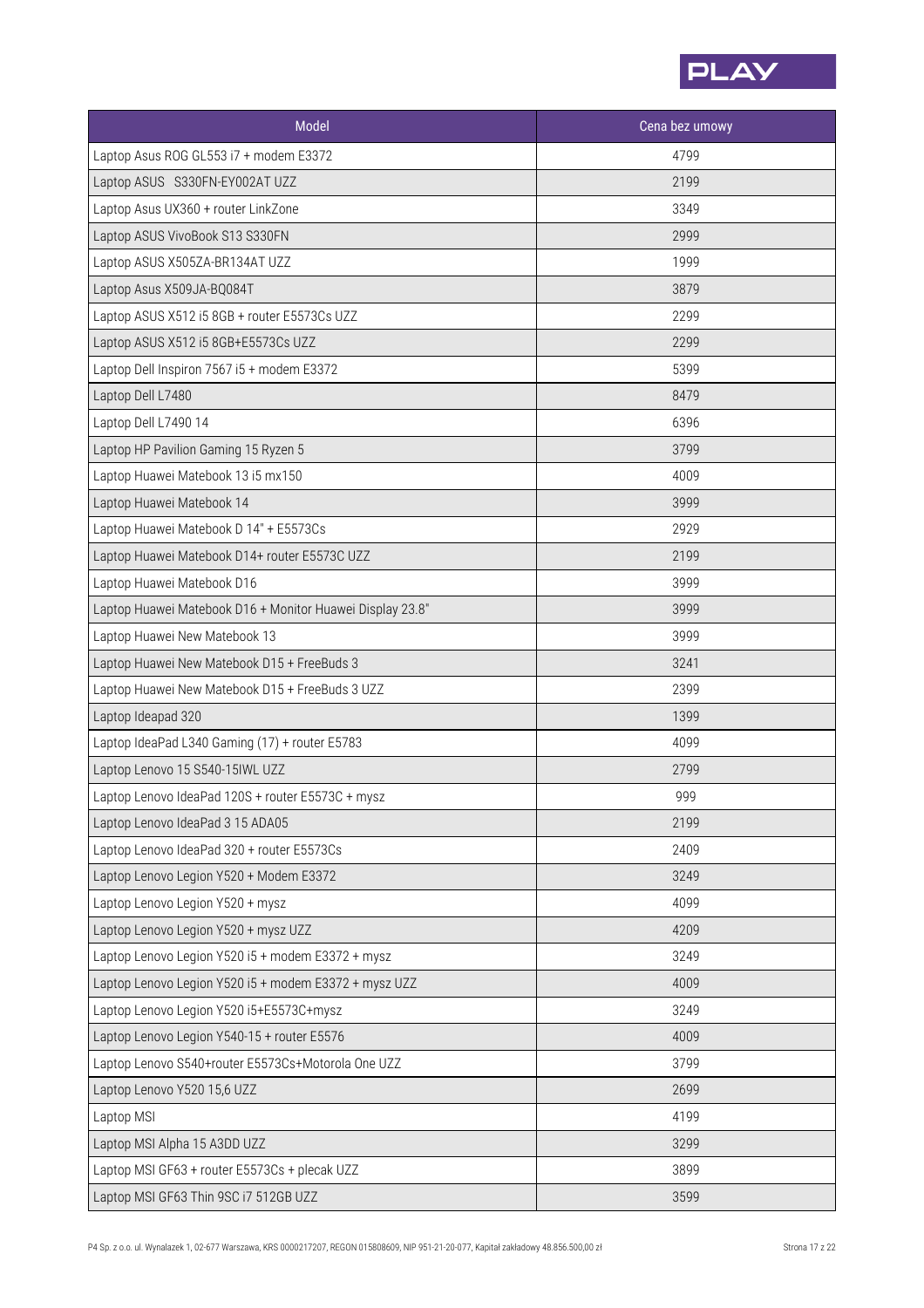

| Model                                                     | Cena bez umowy |
|-----------------------------------------------------------|----------------|
| Laptop Asus ROG GL553 i7 + modem E3372                    | 4799           |
| Laptop ASUS S330FN-EY002AT UZZ                            | 2199           |
| Laptop Asus UX360 + router LinkZone                       | 3349           |
| Laptop ASUS VivoBook S13 S330FN                           | 2999           |
| Laptop ASUS X505ZA-BR134AT UZZ                            | 1999           |
| Laptop Asus X509JA-BQ084T                                 | 3879           |
| Laptop ASUS X512 i5 8GB + router E5573Cs UZZ              | 2299           |
| Laptop ASUS X512 i5 8GB+E5573Cs UZZ                       | 2299           |
| Laptop Dell Inspiron 7567 i5 + modem E3372                | 5399           |
| Laptop Dell L7480                                         | 8479           |
| Laptop Dell L7490 14                                      | 6396           |
| Laptop HP Pavilion Gaming 15 Ryzen 5                      | 3799           |
| Laptop Huawei Matebook 13 i5 mx150                        | 4009           |
| Laptop Huawei Matebook 14                                 | 3999           |
| Laptop Huawei Matebook D 14" + E5573Cs                    | 2929           |
| Laptop Huawei Matebook D14+ router E5573C UZZ             | 2199           |
| Laptop Huawei Matebook D16                                | 3999           |
| Laptop Huawei Matebook D16 + Monitor Huawei Display 23.8" | 3999           |
| Laptop Huawei New Matebook 13                             | 3999           |
| Laptop Huawei New Matebook D15 + FreeBuds 3               | 3241           |
| Laptop Huawei New Matebook D15 + FreeBuds 3 UZZ           | 2399           |
| Laptop Ideapad 320                                        | 1399           |
| Laptop IdeaPad L340 Gaming (17) + router E5783            | 4099           |
| Laptop Lenovo 15 S540-15IWL UZZ                           | 2799           |
| Laptop Lenovo IdeaPad 120S + router E5573C + mysz         | 999            |
| Laptop Lenovo IdeaPad 3 15 ADA05                          | 2199           |
| Laptop Lenovo IdeaPad 320 + router E5573Cs                | 2409           |
| Laptop Lenovo Legion Y520 + Modem E3372                   | 3249           |
| Laptop Lenovo Legion Y520 + mysz                          | 4099           |
| Laptop Lenovo Legion Y520 + mysz UZZ                      | 4209           |
| Laptop Lenovo Legion Y520 i5 + modem E3372 + mysz         | 3249           |
| Laptop Lenovo Legion Y520 i5 + modem E3372 + mysz UZZ     | 4009           |
| Laptop Lenovo Legion Y520 i5+E5573C+mysz                  | 3249           |
| Laptop Lenovo Legion Y540-15 + router E5576               | 4009           |
| Laptop Lenovo S540+router E5573Cs+Motorola One UZZ        | 3799           |
| Laptop Lenovo Y520 15,6 UZZ                               | 2699           |
| Laptop MSI                                                | 4199           |
| Laptop MSI Alpha 15 A3DD UZZ                              | 3299           |
| Laptop MSI GF63 + router E5573Cs + plecak UZZ             | 3899           |
| Laptop MSI GF63 Thin 9SC i7 512GB UZZ                     | 3599           |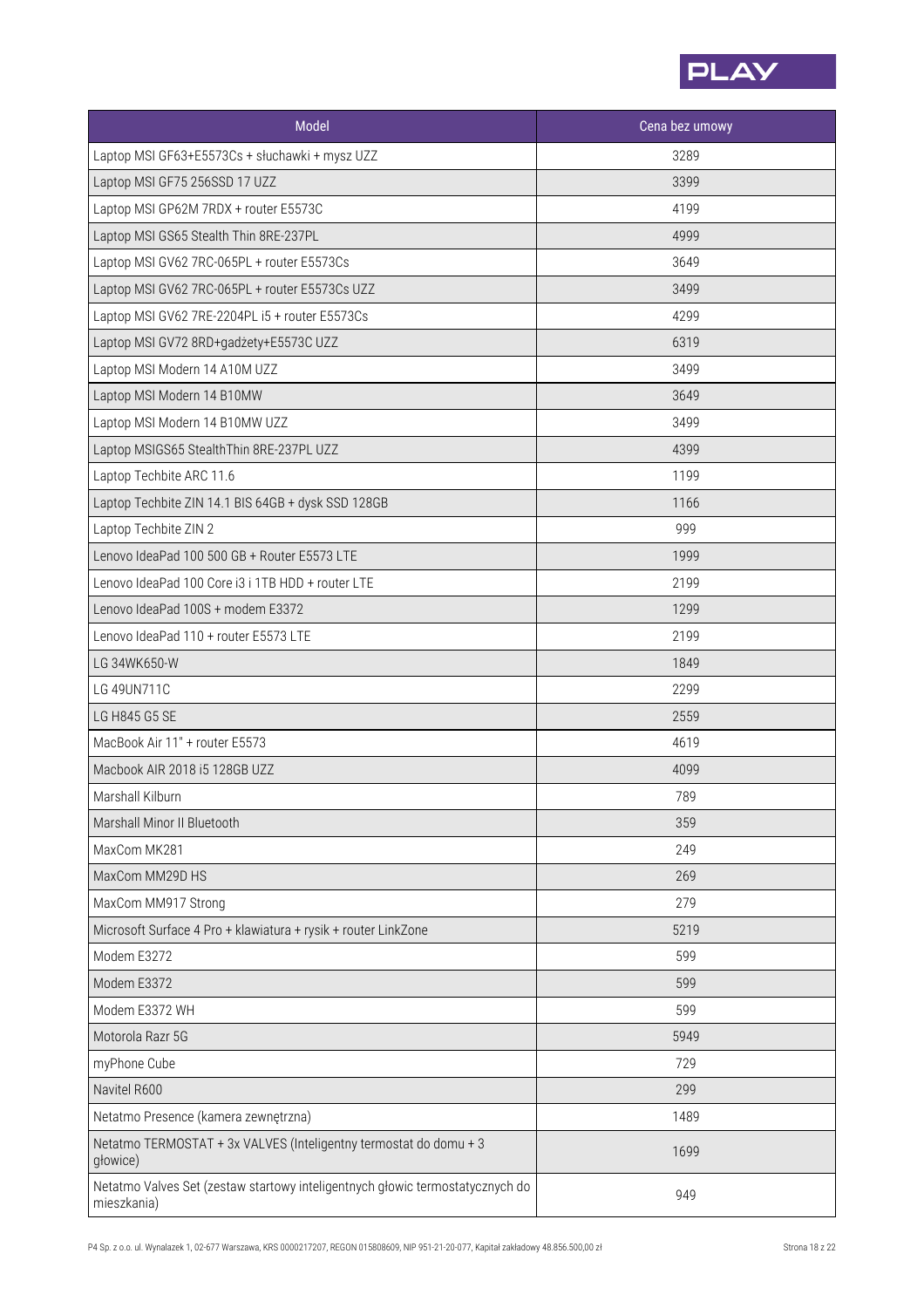

| Model                                                                                        | Cena bez umowy |
|----------------------------------------------------------------------------------------------|----------------|
| Laptop MSI GF63+E5573Cs + słuchawki + mysz UZZ                                               | 3289           |
| Laptop MSI GF75 256SSD 17 UZZ                                                                | 3399           |
| Laptop MSI GP62M 7RDX + router E5573C                                                        | 4199           |
| Laptop MSI GS65 Stealth Thin 8RE-237PL                                                       | 4999           |
| Laptop MSI GV62 7RC-065PL + router E5573Cs                                                   | 3649           |
| Laptop MSI GV62 7RC-065PL + router E5573Cs UZZ                                               | 3499           |
| Laptop MSI GV62 7RE-2204PL i5 + router E5573Cs                                               | 4299           |
| Laptop MSI GV72 8RD+gadżety+E5573C UZZ                                                       | 6319           |
| Laptop MSI Modern 14 A10M UZZ                                                                | 3499           |
| Laptop MSI Modern 14 B10MW                                                                   | 3649           |
| Laptop MSI Modern 14 B10MW UZZ                                                               | 3499           |
| Laptop MSIGS65 StealthThin 8RE-237PL UZZ                                                     | 4399           |
| Laptop Techbite ARC 11.6                                                                     | 1199           |
| Laptop Techbite ZIN 14.1 BIS 64GB + dysk SSD 128GB                                           | 1166           |
| Laptop Techbite ZIN 2                                                                        | 999            |
| Lenovo IdeaPad 100 500 GB + Router E5573 LTE                                                 | 1999           |
| Lenovo IdeaPad 100 Core i3 i 1TB HDD + router LTE                                            | 2199           |
| Lenovo IdeaPad 100S + modem E3372                                                            | 1299           |
| Lenovo IdeaPad 110 + router E5573 LTE                                                        | 2199           |
| LG 34WK650-W                                                                                 | 1849           |
| LG 49UN711C                                                                                  | 2299           |
| LG H845 G5 SE                                                                                | 2559           |
| MacBook Air 11" + router E5573                                                               | 4619           |
| Macbook AIR 2018 i5 128GB UZZ                                                                | 4099           |
| Marshall Kilburn                                                                             | 789            |
| Marshall Minor II Bluetooth                                                                  | 359            |
| MaxCom MK281                                                                                 | 249            |
| MaxCom MM29D HS                                                                              | 269            |
| MaxCom MM917 Strong                                                                          | 279            |
| Microsoft Surface 4 Pro + klawiatura + rysik + router LinkZone                               | 5219           |
| Modem E3272                                                                                  | 599            |
| Modem E3372                                                                                  | 599            |
| Modem E3372 WH                                                                               | 599            |
| Motorola Razr 5G                                                                             | 5949           |
| myPhone Cube                                                                                 | 729            |
| Navitel R600                                                                                 | 299            |
| Netatmo Presence (kamera zewnętrzna)                                                         | 1489           |
| Netatmo TERMOSTAT + 3x VALVES (Inteligentny termostat do domu + 3<br>głowice)                | 1699           |
| Netatmo Valves Set (zestaw startowy inteligentnych głowic termostatycznych do<br>mieszkania) | 949            |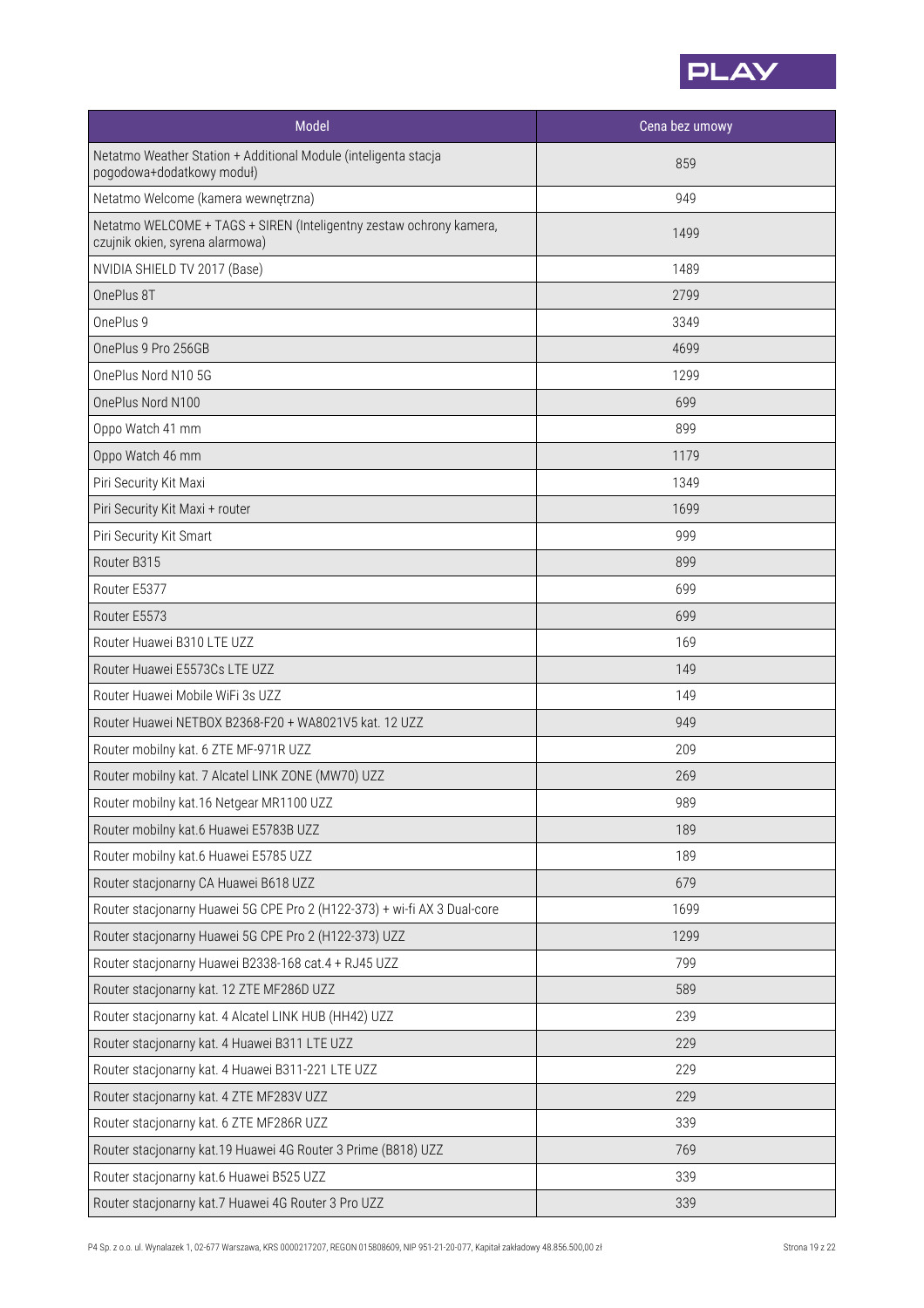

| <b>Model</b>                                                                                           | Cena bez umowy |
|--------------------------------------------------------------------------------------------------------|----------------|
| Netatmo Weather Station + Additional Module (inteligenta stacja<br>pogodowa+dodatkowy moduł)           | 859            |
| Netatmo Welcome (kamera wewnętrzna)                                                                    | 949            |
| Netatmo WELCOME + TAGS + SIREN (Inteligentny zestaw ochrony kamera,<br>czujnik okien, syrena alarmowa) | 1499           |
| NVIDIA SHIELD TV 2017 (Base)                                                                           | 1489           |
| OnePlus 8T                                                                                             | 2799           |
| OnePlus 9                                                                                              | 3349           |
| OnePlus 9 Pro 256GB                                                                                    | 4699           |
| OnePlus Nord N10 5G                                                                                    | 1299           |
| OnePlus Nord N100                                                                                      | 699            |
| Oppo Watch 41 mm                                                                                       | 899            |
| Oppo Watch 46 mm                                                                                       | 1179           |
| Piri Security Kit Maxi                                                                                 | 1349           |
| Piri Security Kit Maxi + router                                                                        | 1699           |
| Piri Security Kit Smart                                                                                | 999            |
| Router B315                                                                                            | 899            |
| Router E5377                                                                                           | 699            |
| Router E5573                                                                                           | 699            |
| Router Huawei B310 LTE UZZ                                                                             | 169            |
| Router Huawei E5573Cs LTE UZZ                                                                          | 149            |
| Router Huawei Mobile WiFi 3s UZZ                                                                       | 149            |
| Router Huawei NETBOX B2368-F20 + WA8021V5 kat. 12 UZZ                                                  | 949            |
| Router mobilny kat. 6 ZTE MF-971R UZZ                                                                  | 209            |
| Router mobilny kat. 7 Alcatel LINK ZONE (MW70) UZZ                                                     | 269            |
| Router mobilny kat.16 Netgear MR1100 UZZ                                                               | 989            |
| Router mobilny kat.6 Huawei E5783B UZZ                                                                 | 189            |
| Router mobilny kat.6 Huawei E5785 UZZ                                                                  | 189            |
| Router stacjonarny CA Huawei B618 UZZ                                                                  | 679            |
| Router stacjonarny Huawei 5G CPE Pro 2 (H122-373) + wi-fi AX 3 Dual-core                               | 1699           |
| Router stacjonarny Huawei 5G CPE Pro 2 (H122-373) UZZ                                                  | 1299           |
| Router stacjonarny Huawei B2338-168 cat.4 + RJ45 UZZ                                                   | 799            |
| Router stacjonarny kat. 12 ZTE MF286D UZZ                                                              | 589            |
| Router stacjonarny kat. 4 Alcatel LINK HUB (HH42) UZZ                                                  | 239            |
| Router stacjonarny kat. 4 Huawei B311 LTE UZZ                                                          | 229            |
| Router stacjonarny kat. 4 Huawei B311-221 LTE UZZ                                                      | 229            |
| Router stacjonarny kat. 4 ZTE MF283V UZZ                                                               | 229            |
| Router stacjonarny kat. 6 ZTE MF286R UZZ                                                               | 339            |
| Router stacjonarny kat.19 Huawei 4G Router 3 Prime (B818) UZZ                                          | 769            |
| Router stacjonarny kat.6 Huawei B525 UZZ                                                               | 339            |
| Router stacjonarny kat.7 Huawei 4G Router 3 Pro UZZ                                                    | 339            |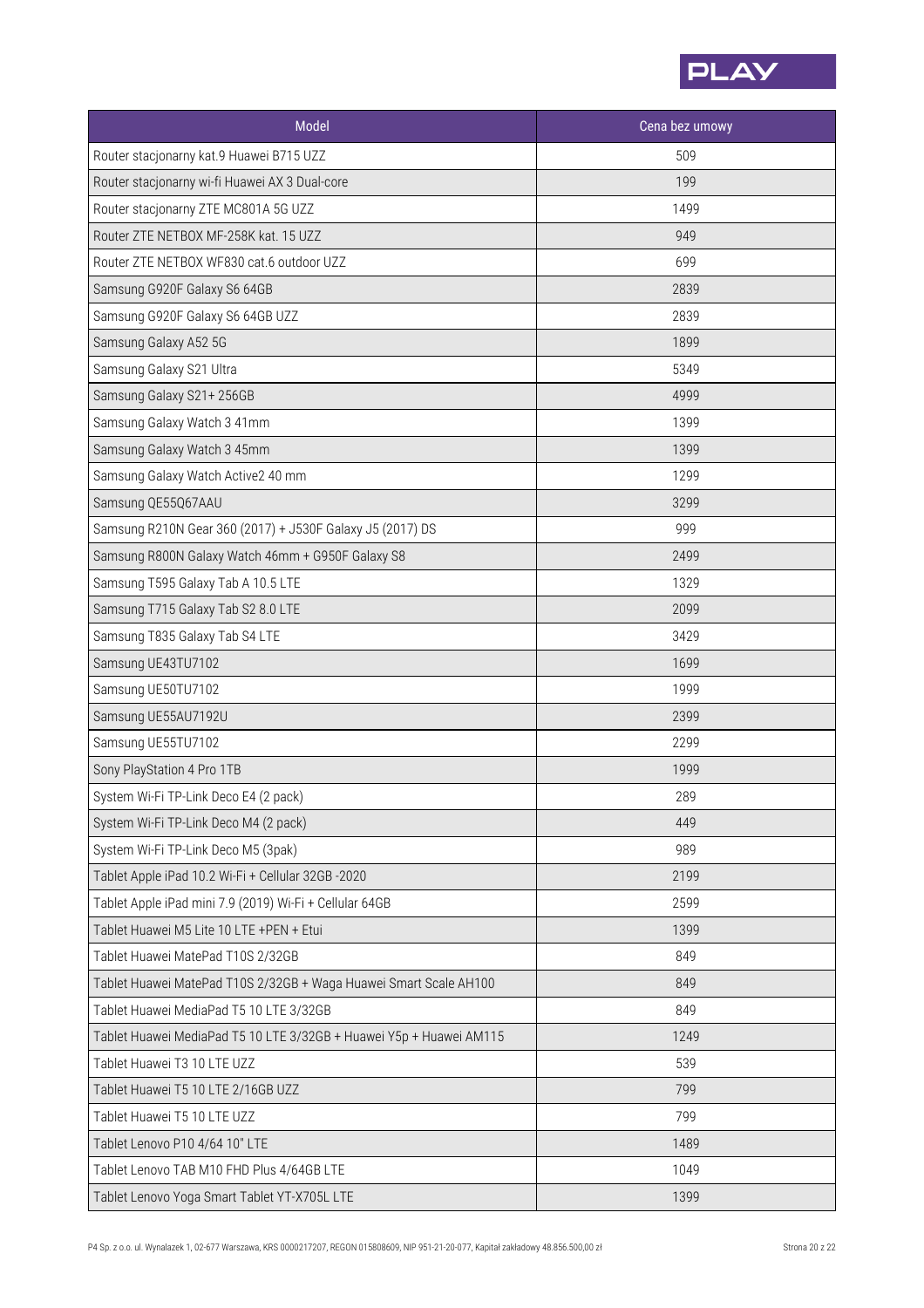

| Model                                                               | Cena bez umowy |
|---------------------------------------------------------------------|----------------|
| Router stacjonarny kat.9 Huawei B715 UZZ                            | 509            |
| Router stacjonarny wi-fi Huawei AX 3 Dual-core                      | 199            |
| Router stacjonarny ZTE MC801A 5G UZZ                                | 1499           |
| Router ZTE NETBOX MF-258K kat. 15 UZZ                               | 949            |
| Router ZTE NETBOX WF830 cat.6 outdoor UZZ                           | 699            |
| Samsung G920F Galaxy S6 64GB                                        | 2839           |
| Samsung G920F Galaxy S6 64GB UZZ                                    | 2839           |
| Samsung Galaxy A52 5G                                               | 1899           |
| Samsung Galaxy S21 Ultra                                            | 5349           |
| Samsung Galaxy S21+256GB                                            | 4999           |
| Samsung Galaxy Watch 3 41mm                                         | 1399           |
| Samsung Galaxy Watch 3 45mm                                         | 1399           |
| Samsung Galaxy Watch Active2 40 mm                                  | 1299           |
| Samsung QE55Q67AAU                                                  | 3299           |
| Samsung R210N Gear 360 (2017) + J530F Galaxy J5 (2017) DS           | 999            |
| Samsung R800N Galaxy Watch 46mm + G950F Galaxy S8                   | 2499           |
| Samsung T595 Galaxy Tab A 10.5 LTE                                  | 1329           |
| Samsung T715 Galaxy Tab S2 8.0 LTE                                  | 2099           |
| Samsung T835 Galaxy Tab S4 LTE                                      | 3429           |
| Samsung UE43TU7102                                                  | 1699           |
| Samsung UE50TU7102                                                  | 1999           |
| Samsung UE55AU7192U                                                 | 2399           |
| Samsung UE55TU7102                                                  | 2299           |
| Sony PlayStation 4 Pro 1TB                                          | 1999           |
| System Wi-Fi TP-Link Deco E4 (2 pack)                               | 289            |
| System Wi-Fi TP-Link Deco M4 (2 pack)                               | 449            |
| System Wi-Fi TP-Link Deco M5 (3pak)                                 | 989            |
| Tablet Apple iPad 10.2 Wi-Fi + Cellular 32GB -2020                  | 2199           |
| Tablet Apple iPad mini 7.9 (2019) Wi-Fi + Cellular 64GB             | 2599           |
| Tablet Huawei M5 Lite 10 LTE +PEN + Etui                            | 1399           |
| Tablet Huawei MatePad T10S 2/32GB                                   | 849            |
| Tablet Huawei MatePad T10S 2/32GB + Waga Huawei Smart Scale AH100   | 849            |
| Tablet Huawei MediaPad T5 10 LTE 3/32GB                             | 849            |
| Tablet Huawei MediaPad T5 10 LTE 3/32GB + Huawei Y5p + Huawei AM115 | 1249           |
| Tablet Huawei T3 10 LTE UZZ                                         | 539            |
| Tablet Huawei T5 10 LTE 2/16GB UZZ                                  | 799            |
| Tablet Huawei T5 10 LTE UZZ                                         | 799            |
| Tablet Lenovo P10 4/64 10" LTE                                      | 1489           |
| Tablet Lenovo TAB M10 FHD Plus 4/64GB LTE                           | 1049           |
| Tablet Lenovo Yoga Smart Tablet YT-X705L LTE                        | 1399           |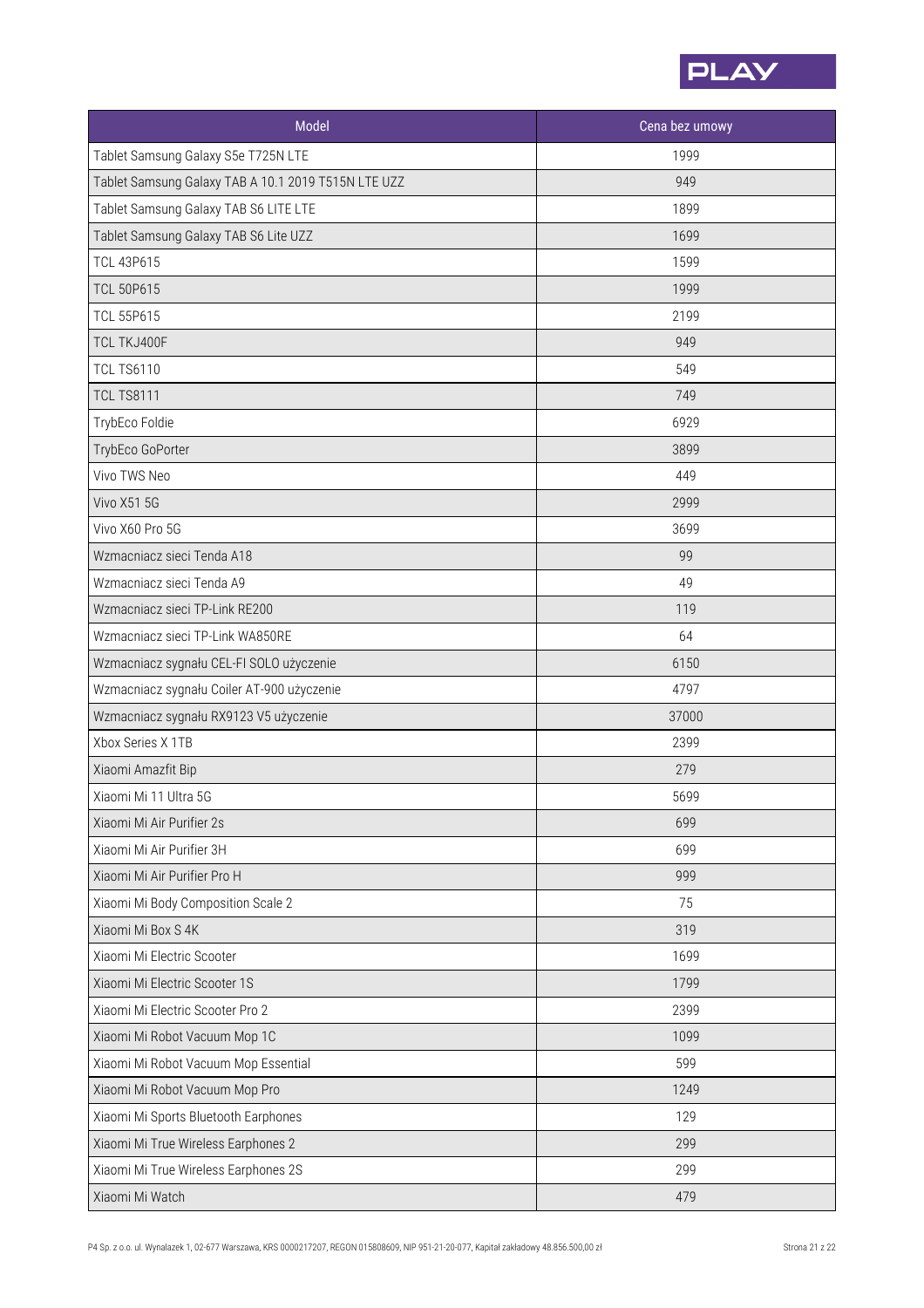

| <b>Model</b>                                        | Cena bez umowy |
|-----------------------------------------------------|----------------|
| Tablet Samsung Galaxy S5e T725N LTE                 | 1999           |
| Tablet Samsung Galaxy TAB A 10.1 2019 T515N LTE UZZ | 949            |
| Tablet Samsung Galaxy TAB S6 LITE LTE               | 1899           |
| Tablet Samsung Galaxy TAB S6 Lite UZZ               | 1699           |
| <b>TCL 43P615</b>                                   | 1599           |
| <b>TCL 50P615</b>                                   | 1999           |
| <b>TCL 55P615</b>                                   | 2199           |
| TCL TKJ400F                                         | 949            |
| <b>TCL TS6110</b>                                   | 549            |
| <b>TCL TS8111</b>                                   | 749            |
| TrybEco Foldie                                      | 6929           |
| TrybEco GoPorter                                    | 3899           |
| Vivo TWS Neo                                        | 449            |
| <b>Vivo X51 5G</b>                                  | 2999           |
| Vivo X60 Pro 5G                                     | 3699           |
| Wzmacniacz sieci Tenda A18                          | 99             |
| Wzmacniacz sieci Tenda A9                           | 49             |
| Wzmacniacz sieci TP-Link RE200                      | 119            |
| Wzmacniacz sieci TP-Link WA850RE                    | 64             |
| Wzmacniacz sygnału CEL-FI SOLO użyczenie            | 6150           |
| Wzmacniacz sygnału Coiler AT-900 użyczenie          | 4797           |
| Wzmacniacz sygnału RX9123 V5 użyczenie              | 37000          |
| Xbox Series X 1TB                                   | 2399           |
| Xiaomi Amazfit Bip                                  | 279            |
| Xiaomi Mi 11 Ultra 5G                               | 5699           |
| Xiaomi Mi Air Purifier 2s                           | 699            |
| Xiaomi Mi Air Purifier 3H                           | 699            |
| Xiaomi Mi Air Purifier Pro H                        | 999            |
| Xiaomi Mi Body Composition Scale 2                  | 75             |
| Xiaomi Mi Box S 4K                                  | 319            |
| Xiaomi Mi Electric Scooter                          | 1699           |
| Xiaomi Mi Electric Scooter 1S                       | 1799           |
| Xiaomi Mi Electric Scooter Pro 2                    | 2399           |
| Xiaomi Mi Robot Vacuum Mop 1C                       | 1099           |
| Xiaomi Mi Robot Vacuum Mop Essential                | 599            |
| Xiaomi Mi Robot Vacuum Mop Pro                      | 1249           |
| Xiaomi Mi Sports Bluetooth Earphones                | 129            |
| Xiaomi Mi True Wireless Earphones 2                 | 299            |
| Xiaomi Mi True Wireless Earphones 2S                | 299            |
| Xiaomi Mi Watch                                     | 479            |